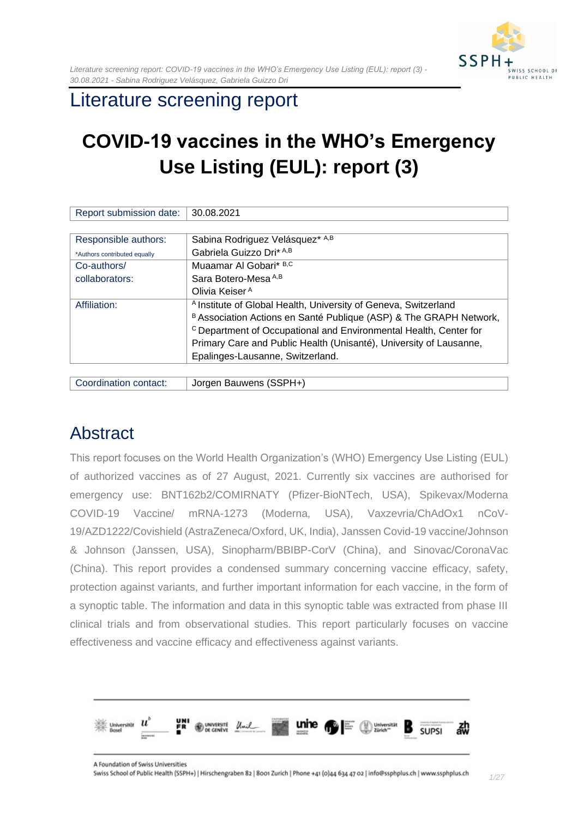

## Literature screening report

# **COVID-19 vaccines in the WHO's Emergency Use Listing (EUL): report (3)**

| Report submission date:      | 30.08.2021                                                                   |
|------------------------------|------------------------------------------------------------------------------|
|                              |                                                                              |
| Responsible authors:         | Sabina Rodriguez Velásquez* A,B                                              |
| *Authors contributed equally | Gabriela Guizzo Dri* A,B                                                     |
| Co-authors/                  | Muaamar Al Gobari* B,C                                                       |
| collaborators:               | Sara Botero-Mesa A,B                                                         |
|                              | Olivia Keiser <sup>A</sup>                                                   |
| Affiliation:                 | <sup>A</sup> Institute of Global Health, University of Geneva, Switzerland   |
|                              | B Association Actions en Santé Publique (ASP) & The GRAPH Network,           |
|                              | <sup>C</sup> Department of Occupational and Environmental Health, Center for |
|                              | Primary Care and Public Health (Unisanté), University of Lausanne,           |
|                              | Epalinges-Lausanne, Switzerland.                                             |
|                              |                                                                              |

Coordination contact: Jorgen Bauwens (SSPH+)

# <span id="page-0-0"></span>**Abstract**

This report focuses on the World Health Organization's (WHO) Emergency Use Listing (EUL) of authorized vaccines as of 27 August, 2021. Currently six vaccines are authorised for emergency use: BNT162b2/COMIRNATY (Pfizer-BioNTech, USA), Spikevax/Moderna COVID-19 Vaccine/ mRNA-1273 (Moderna, USA), Vaxzevria/ChAdOx1 nCoV-19/AZD1222/Covishield (AstraZeneca/Oxford, UK, India), Janssen Covid-19 vaccine/Johnson & Johnson (Janssen, USA), Sinopharm/BBIBP-CorV (China), and Sinovac/CoronaVac (China). This report provides a condensed summary concerning vaccine efficacy, safety, protection against variants, and further important information for each vaccine, in the form of a synoptic table. The information and data in this synoptic table was extracted from phase III clinical trials and from observational studies. This report particularly focuses on vaccine effectiveness and vaccine efficacy and effectiveness against variants.

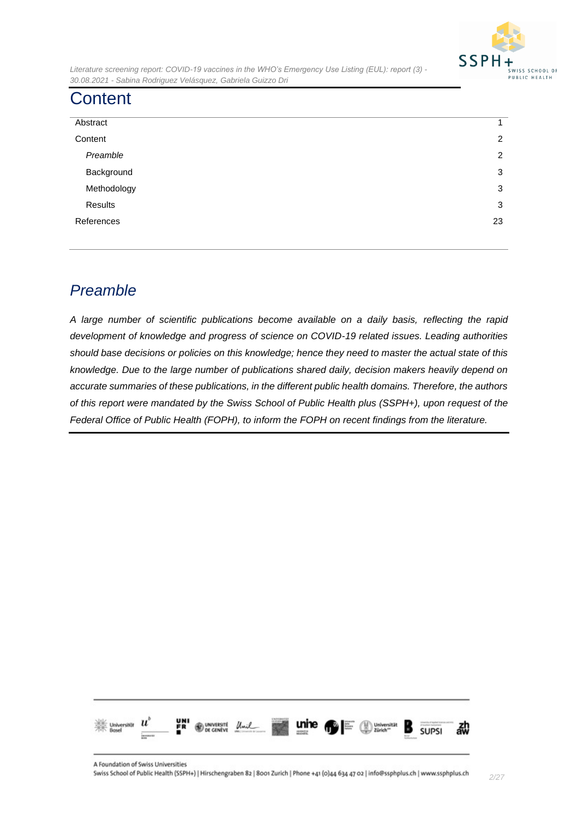

# <span id="page-1-0"></span>**Content**

| Abstract    | 1              |
|-------------|----------------|
| Content     | $\overline{2}$ |
| Preamble    | 2              |
| Background  | 3              |
| Methodology | 3              |
| Results     | 3              |
| References  | 23             |
|             |                |

## <span id="page-1-1"></span>*Preamble*

*A large number of scientific publications become available on a daily basis, reflecting the rapid development of knowledge and progress of science on COVID-19 related issues. Leading authorities should base decisions or policies on this knowledge; hence they need to master the actual state of this knowledge. Due to the large number of publications shared daily, decision makers heavily depend on accurate summaries of these publications, in the different public health domains. Therefore, the authors of this report were mandated by the Swiss School of Public Health plus (SSPH+), upon request of the Federal Office of Public Health (FOPH), to inform the FOPH on recent findings from the literature.*

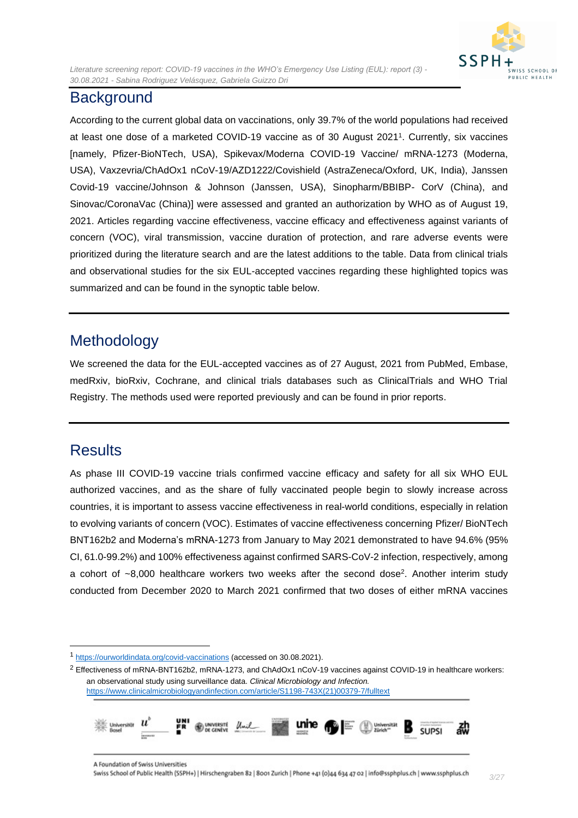#### <span id="page-2-0"></span>**Background**

According to the current global data on vaccinations, only 39.7% of the world populations had received at least one dose of a marketed COVID-19 vaccine as of 30 August 2021<sup>1</sup> . Currently, six vaccines [namely, Pfizer-BioNTech, USA), Spikevax/Moderna COVID-19 Vaccine/ mRNA-1273 (Moderna, USA), Vaxzevria/ChAdOx1 nCoV-19/AZD1222/Covishield (AstraZeneca/Oxford, UK, India), Janssen Covid-19 vaccine/Johnson & Johnson (Janssen, USA), Sinopharm/BBIBP- CorV (China), and Sinovac/CoronaVac (China)] were assessed and granted an authorization by WHO as of August 19, 2021. Articles regarding vaccine effectiveness, vaccine efficacy and effectiveness against variants of concern (VOC), viral transmission, vaccine duration of protection, and rare adverse events were prioritized during the literature search and are the latest additions to the table. Data from clinical trials and observational studies for the six EUL-accepted vaccines regarding these highlighted topics was summarized and can be found in the synoptic table below.

### <span id="page-2-1"></span>Methodology

We screened the data for the EUL-accepted vaccines as of 27 August, 2021 from PubMed, Embase, medRxiv, bioRxiv, Cochrane, and clinical trials databases such as ClinicalTrials and WHO Trial Registry. The methods used were reported previously and can be found in prior reports.

### <span id="page-2-2"></span>**Results**

As phase III COVID-19 vaccine trials confirmed vaccine efficacy and safety for all six WHO EUL authorized vaccines, and as the share of fully vaccinated people begin to slowly increase across countries, it is important to assess vaccine effectiveness in real-world conditions, especially in relation to evolving variants of concern (VOC). Estimates of vaccine effectiveness concerning Pfizer/ BioNTech BNT162b2 and Moderna's mRNA-1273 from January to May 2021 demonstrated to have 94.6% (95% CI, 61.0-99.2%) and 100% effectiveness against confirmed SARS-CoV-2 infection, respectively, among a cohort of  $\sim$ 8,000 healthcare workers two weeks after the second dose<sup>2</sup>. Another interim study conducted from December 2020 to March 2021 confirmed that two doses of either mRNA vaccines

<sup>2</sup> Effectiveness of mRNA-BNT162b2, mRNA-1273, and ChAdOx1 nCoV-19 vaccines against COVID-19 in healthcare workers: an observational study using surveillance data. *Clinical Microbiology and Infection.* [https://www.clinicalmicrobiologyandinfection.com/article/S1198-743X\(21\)00379-7/fulltext](https://www.clinicalmicrobiologyandinfection.com/article/S1198-743X(21)00379-7/fulltext)



<sup>1</sup> <https://ourworldindata.org/covid-vaccinations> (accessed on 30.08.2021).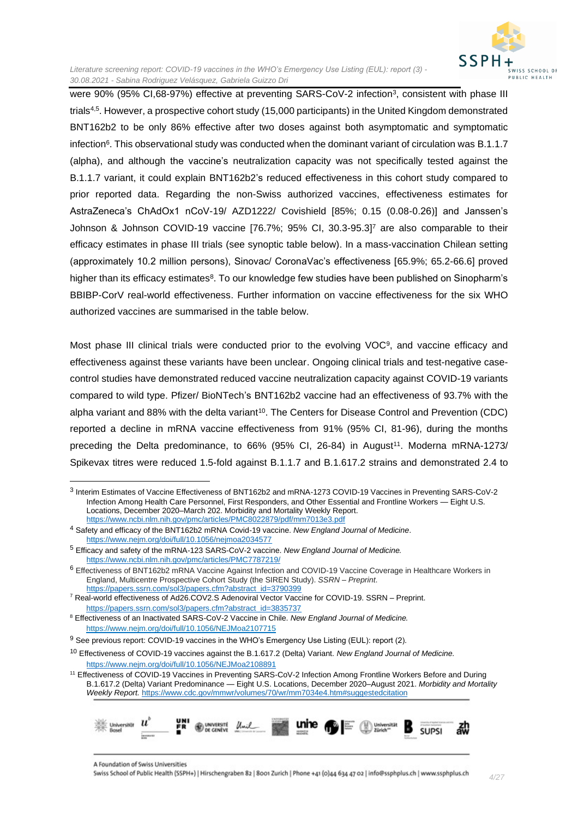

were 90% (95% CI,68-97%) effective at preventing SARS-CoV-2 infection<sup>3</sup>, consistent with phase III trials4,5 . However, a prospective cohort study (15,000 participants) in the United Kingdom demonstrated BNT162b2 to be only 86% effective after two doses against both asymptomatic and symptomatic infection $^6$ . This observational study was conducted when the dominant variant of circulation was B.1.1.7  $\,$ (alpha), and although the vaccine's neutralization capacity was not specifically tested against the B.1.1.7 variant, it could explain BNT162b2's reduced effectiveness in this cohort study compared to prior reported data. Regarding the non-Swiss authorized vaccines, effectiveness estimates for AstraZeneca's ChAdOx1 nCoV-19/ AZD1222/ Covishield [85%; 0.15 (0.08-0.26)] and Janssen's Johnson & Johnson COVID-19 vaccine [76.7%; 95% CI, 30.3-95.3]<sup>7</sup> are also comparable to their efficacy estimates in phase III trials (see synoptic table below). In a mass-vaccination Chilean setting (approximately 10.2 million persons), Sinovac/ CoronaVac's effectiveness [65.9%; 65.2-66.6] proved higher than its efficacy estimates<sup>8</sup>. To our knowledge few studies have been published on Sinopharm's BBIBP-CorV real-world effectiveness. Further information on vaccine effectiveness for the six WHO authorized vaccines are summarised in the table below.

Most phase III clinical trials were conducted prior to the evolving VOC<sup>9</sup>, and vaccine efficacy and effectiveness against these variants have been unclear. Ongoing clinical trials and test-negative casecontrol studies have demonstrated reduced vaccine neutralization capacity against COVID-19 variants compared to wild type. Pfizer/ BioNTech's BNT162b2 vaccine had an effectiveness of 93.7% with the alpha variant and 88% with the delta variant<sup>10</sup>. The Centers for Disease Control and Prevention (CDC) reported a decline in mRNA vaccine effectiveness from 91% (95% CI, 81-96), during the months preceding the Delta predominance, to 66% (95% CI, 26-84) in August<sup>11</sup>. Moderna mRNA-1273/ Spikevax titres were reduced 1.5-fold against B.1.1.7 and B.1.617.2 strains and demonstrated 2.4 to

<sup>7</sup> Real-world effectiveness of Ad26.COV2.S Adenoviral Vector Vaccine for COVID-19. SSRN – Preprint. [https://papers.ssrn.com/sol3/papers.cfm?abstract\\_id=3835737](https://papers.ssrn.com/sol3/papers.cfm?abstract_id=3835737)

<sup>&</sup>lt;sup>11</sup> Effectiveness of COVID-19 Vaccines in Preventing SARS-CoV-2 Infection Among Frontline Workers Before and During B.1.617.2 (Delta) Variant Predominance — Eight U.S. Locations, December 2020–August 2021. *Morbidity and Mortality Weekly Report.* <https://www.cdc.gov/mmwr/volumes/70/wr/mm7034e4.htm#suggestedcitation>



A Foundation of Swiss Universities

<sup>3</sup> Interim Estimates of Vaccine Effectiveness of BNT162b2 and mRNA-1273 COVID-19 Vaccines in Preventing SARS-CoV-2 Infection Among Health Care Personnel, First Responders, and Other Essential and Frontline Workers — Eight U.S. Locations, December 2020-March 202. Morbidity and Mortality Weekly Report. <https://www.ncbi.nlm.nih.gov/pmc/articles/PMC8022879/pdf/mm7013e3.pdf>

<sup>4</sup> Safety and efficacy of the BNT162b2 mRNA Covid-19 vaccine. *New England Journal of Medicine*. <https://www.nejm.org/doi/full/10.1056/nejmoa2034577>

<sup>5</sup> Efficacy and safety of the mRNA-123 SARS-CoV-2 vaccine. *New England Journal of Medicine.* <https://www.ncbi.nlm.nih.gov/pmc/articles/PMC7787219/>

<sup>6</sup> Effectiveness of BNT162b2 mRNA Vaccine Against Infection and COVID-19 Vaccine Coverage in Healthcare Workers in England, Multicentre Prospective Cohort Study (the SIREN Study). *SSRN – Preprint*. [https://papers.ssrn.com/sol3/papers.cfm?abstract\\_id=3790399](https://papers.ssrn.com/sol3/papers.cfm?abstract_id=3790399)

<sup>8</sup> Effectiveness of an Inactivated SARS-CoV-2 Vaccine in Chile. *New England Journal of Medicine.* <https://www.nejm.org/doi/full/10.1056/NEJMoa2107715>

<sup>&</sup>lt;sup>9</sup> See previous report: COVID-19 vaccines in the WHO's Emergency Use Listing (EUL): report (2).

<sup>10</sup> Effectiveness of COVID-19 vaccines against the B.1.617.2 (Delta) Variant. *New England Journal of Medicine.* <https://www.nejm.org/doi/full/10.1056/NEJMoa2108891>

Swiss School of Public Health (SSPH+) | Hirschengraben 82 | 8001 Zurich | Phone +41 (0)44 634 47 02 | info@ssphplus.ch | www.ssphplus.ch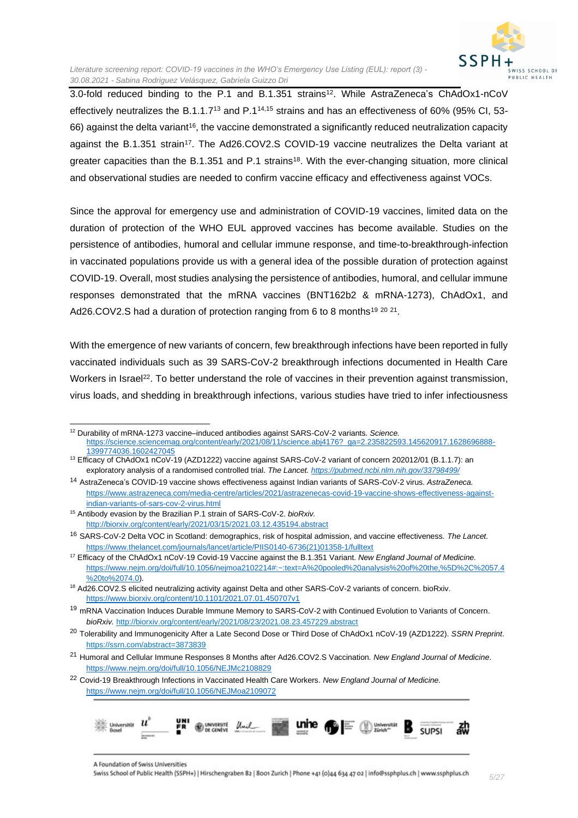

3.0-fold reduced binding to the P.1 and B.1.351 strains<sup>12</sup>. While AstraZeneca's ChAdOx1-nCoV effectively neutralizes the B.1.1.7<sup>13</sup> and P.114,15 strains and has an effectiveness of 60% (95% CI, 53- 66) against the delta variant<sup>16</sup>, the vaccine demonstrated a significantly reduced neutralization capacity against the B.1.351 strain<sup>17</sup>. The Ad26.COV2.S COVID-19 vaccine neutralizes the Delta variant at greater capacities than the B.1.351 and P.1 strains<sup>18</sup>. With the ever-changing situation, more clinical and observational studies are needed to confirm vaccine efficacy and effectiveness against VOCs.

Since the approval for emergency use and administration of COVID-19 vaccines, limited data on the duration of protection of the WHO EUL approved vaccines has become available. Studies on the persistence of antibodies, humoral and cellular immune response, and time-to-breakthrough-infection in vaccinated populations provide us with a general idea of the possible duration of protection against COVID-19. Overall, most studies analysing the persistence of antibodies, humoral, and cellular immune responses demonstrated that the mRNA vaccines (BNT162b2 & mRNA-1273), ChAdOx1, and Ad26.COV2.S had a duration of protection ranging from 6 to 8 months<sup>19 20 21</sup>.

With the emergence of new variants of concern, few breakthrough infections have been reported in fully vaccinated individuals such as 39 SARS-CoV-2 breakthrough infections documented in Health Care Workers in Israel<sup>22</sup>. To better understand the role of vaccines in their prevention against transmission, virus loads, and shedding in breakthrough infections, various studies have tried to infer infectiousness

<sup>12</sup> Durability of mRNA-1273 vaccine–induced antibodies against SARS-CoV-2 variants. *Science.* [https://science.sciencemag.org/content/early/2021/08/11/science.abj4176?\\_ga=2.235822593.145620917.1628696888-](https://science.sciencemag.org/content/early/2021/08/11/science.abj4176?_ga=2.235822593.145620917.1628696888-1399774036.1602427045) [1399774036.1602427045](https://science.sciencemag.org/content/early/2021/08/11/science.abj4176?_ga=2.235822593.145620917.1628696888-1399774036.1602427045)

<sup>13</sup> Efficacy of ChAdOx1 nCoV-19 (AZD1222) vaccine against SARS-CoV-2 variant of concern 202012/01 (B.1.1.7): an exploratory analysis of a randomised controlled trial. *The Lancet. <https://pubmed.ncbi.nlm.nih.gov/33798499/>*

<sup>14</sup> AstraZeneca's COVID-19 vaccine shows effectiveness against Indian variants of SARS-CoV-2 virus. *AstraZeneca.* [https://www.astrazeneca.com/media-centre/articles/2021/astrazenecas-covid-19-vaccine-shows-effectiveness-against](https://www.astrazeneca.com/media-centre/articles/2021/astrazenecas-covid-19-vaccine-shows-effectiveness-against-indian-variants-of-sars-cov-2-virus.html)[indian-variants-of-sars-cov-2-virus.html](https://www.astrazeneca.com/media-centre/articles/2021/astrazenecas-covid-19-vaccine-shows-effectiveness-against-indian-variants-of-sars-cov-2-virus.html)

<sup>15</sup> Antibody evasion by the Brazilian P.1 strain of SARS-CoV-2. *bioRxiv.*  <http://biorxiv.org/content/early/2021/03/15/2021.03.12.435194.abstract>

<sup>16</sup> SARS-CoV-2 Delta VOC in Scotland: demographics, risk of hospital admission, and vaccine effectiveness. *The Lancet.* [https://www.thelancet.com/journals/lancet/article/PIIS0140-6736\(21\)01358-1/fulltext](https://www.thelancet.com/journals/lancet/article/PIIS0140-6736(21)01358-1/fulltext)

<sup>17</sup> Efficacy of the ChAdOx1 nCoV-19 Covid-19 Vaccine against the B.1.351 Variant. *New England Journal of Medicine.* [https://www.nejm.org/doi/full/10.1056/nejmoa2102214#:~:text=A%20pooled%20analysis%20of%20the,%5D%2C%2057.4](https://www.nejm.org/doi/full/10.1056/nejmoa2102214#:~:text=A%20pooled%20analysis%20of%20the,%5D%2C%2057.4%20to%2074.0) [%20to%2074.0\)](https://www.nejm.org/doi/full/10.1056/nejmoa2102214#:~:text=A%20pooled%20analysis%20of%20the,%5D%2C%2057.4%20to%2074.0).

<sup>&</sup>lt;sup>18</sup> Ad26.COV2.S elicited neutralizing activity against Delta and other SARS-CoV-2 variants of concern. bioRxiv. <https://www.biorxiv.org/content/10.1101/2021.07.01.450707v1>

<sup>19</sup> mRNA Vaccination Induces Durable Immune Memory to SARS-CoV-2 with Continued Evolution to Variants of Concern. *bioRxiv.* <http://biorxiv.org/content/early/2021/08/23/2021.08.23.457229.abstract>

<sup>20</sup> Tolerability and Immunogenicity After a Late Second Dose or Third Dose of ChAdOx1 nCoV-19 (AZD1222). *SSRN Preprint*. <https://ssrn.com/abstract=3873839>

<sup>21</sup> Humoral and Cellular Immune Responses 8 Months after Ad26.COV2.S Vaccination. *New England Journal of Medicine*. <https://www.nejm.org/doi/full/10.1056/NEJMc2108829>

<sup>22</sup> Covid-19 Breakthrough Infections in Vaccinated Health Care Workers. *New England Journal of Medicine.*  <https://www.nejm.org/doi/full/10.1056/NEJMoa2109072>

Universität INIVERSITÉ SUPSI

A Foundation of Swiss Universities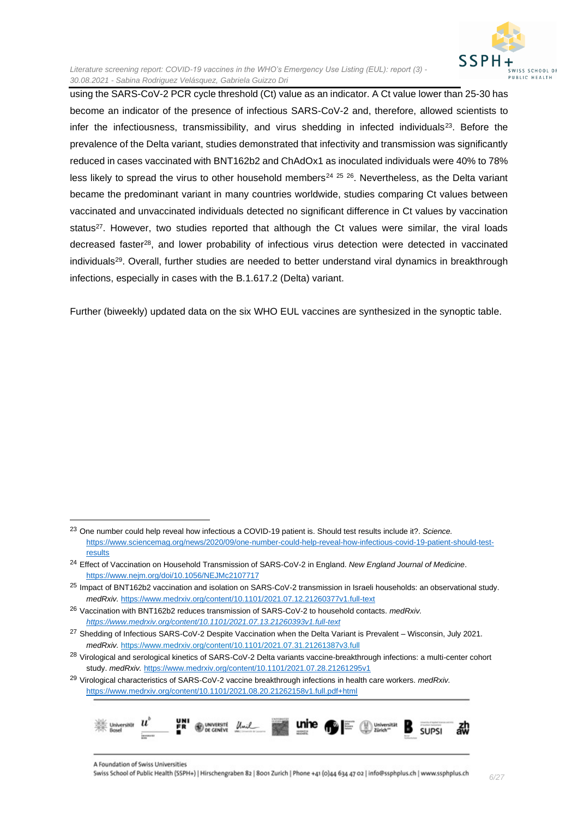

using the SARS-CoV-2 PCR cycle threshold (Ct) value as an indicator. A Ct value lower than 25-30 has become an indicator of the presence of infectious SARS-CoV-2 and, therefore, allowed scientists to infer the infectiousness, transmissibility, and virus shedding in infected individuals $^{23}$ . Before the prevalence of the Delta variant, studies demonstrated that infectivity and transmission was significantly reduced in cases vaccinated with BNT162b2 and ChAdOx1 as inoculated individuals were 40% to 78% less likely to spread the virus to other household members<sup>24 25</sup>  $^{26}$ . Nevertheless, as the Delta variant became the predominant variant in many countries worldwide, studies comparing Ct values between vaccinated and unvaccinated individuals detected no significant difference in Ct values by vaccination status<sup>27</sup>. However, two studies reported that although the Ct values were similar, the viral loads decreased faster<sup>28</sup>, and lower probability of infectious virus detection were detected in vaccinated individuals<sup>29</sup>. Overall, further studies are needed to better understand viral dynamics in breakthrough infections, especially in cases with the B.1.617.2 (Delta) variant.

Further (biweekly) updated data on the six WHO EUL vaccines are synthesized in the synoptic table.

<sup>29</sup> Virological characteristics of SARS-CoV-2 vaccine breakthrough infections in health care workers. *medRxiv.*  <https://www.medrxiv.org/content/10.1101/2021.08.20.21262158v1.full.pdf+html>



A Foundation of Swiss Universities

<sup>23</sup> One number could help reveal how infectious a COVID-19 patient is. Should test results include it?. *Science.* [https://www.sciencemag.org/news/2020/09/one-number-could-help-reveal-how-infectious-covid-19-patient-should-test](https://www.sciencemag.org/news/2020/09/one-number-could-help-reveal-how-infectious-covid-19-patient-should-test-results)[results](https://www.sciencemag.org/news/2020/09/one-number-could-help-reveal-how-infectious-covid-19-patient-should-test-results)

<sup>24</sup> Effect of Vaccination on Household Transmission of SARS-CoV-2 in England. *New England Journal of Medicine*. <https://www.nejm.org/doi/10.1056/NEJMc2107717>

 $25$  Impact of BNT162b2 vaccination and isolation on SARS-CoV-2 transmission in Israeli households: an observational study. *medRxiv.* <https://www.medrxiv.org/content/10.1101/2021.07.12.21260377v1.full-text>

<sup>26</sup> Vaccination with BNT162b2 reduces transmission of SARS-CoV-2 to household contacts. *medRxiv. <https://www.medrxiv.org/content/10.1101/2021.07.13.21260393v1.full-text>*

<sup>&</sup>lt;sup>27</sup> Shedding of Infectious SARS-CoV-2 Despite Vaccination when the Delta Variant is Prevalent – Wisconsin, July 2021. *medRxiv.* <https://www.medrxiv.org/content/10.1101/2021.07.31.21261387v3.full>

<sup>&</sup>lt;sup>28</sup> Virological and serological kinetics of SARS-CoV-2 Delta variants vaccine-breakthrough infections: a multi-center cohort study. *medRxiv.* <https://www.medrxiv.org/content/10.1101/2021.07.28.21261295v1>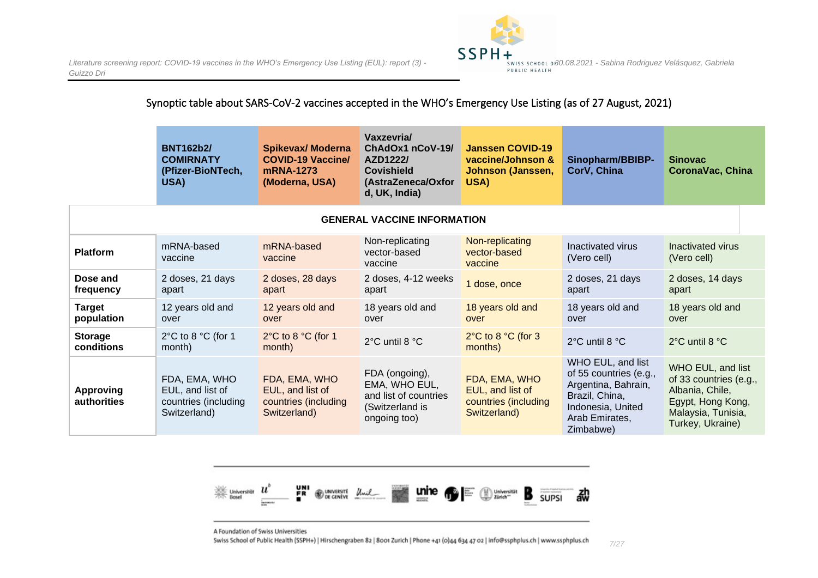

#### Synoptic table about SARS-CoV-2 vaccines accepted in the WHO's Emergency Use Listing (as of 27 August, 2021)

|                                    | <b>BNT162b2/</b><br><b>COMIRNATY</b><br>(Pfizer-BioNTech,<br>USA)         | <b>Spikevax/ Moderna</b><br><b>COVID-19 Vaccine/</b><br>mRNA-1273<br>(Moderna, USA) | Vaxzevria/<br>ChAdOx1 nCoV-19/<br>AZD1222/<br><b>Covishield</b><br>(AstraZeneca/Oxfor<br>d, UK, India) | <b>Janssen COVID-19</b><br>vaccine/Johnson &<br>Johnson (Janssen,<br>USA) | Sinopharm/BBIBP-<br>CorV, China                                                                                                          | <b>Sinovac</b><br><b>CoronaVac, China</b>                                                                                     |  |  |  |
|------------------------------------|---------------------------------------------------------------------------|-------------------------------------------------------------------------------------|--------------------------------------------------------------------------------------------------------|---------------------------------------------------------------------------|------------------------------------------------------------------------------------------------------------------------------------------|-------------------------------------------------------------------------------------------------------------------------------|--|--|--|
| <b>GENERAL VACCINE INFORMATION</b> |                                                                           |                                                                                     |                                                                                                        |                                                                           |                                                                                                                                          |                                                                                                                               |  |  |  |
| <b>Platform</b>                    | mRNA-based<br>vaccine                                                     | mRNA-based<br>vaccine                                                               | Non-replicating<br>vector-based<br>vaccine                                                             | Non-replicating<br>vector-based<br>vaccine                                | Inactivated virus<br>(Vero cell)                                                                                                         | Inactivated virus<br>(Vero cell)                                                                                              |  |  |  |
| Dose and<br>frequency              | 2 doses, 21 days<br>apart                                                 | 2 doses, 28 days<br>apart                                                           | 2 doses, 4-12 weeks<br>apart                                                                           | 1 dose, once                                                              | 2 doses, 21 days<br>apart                                                                                                                | 2 doses, 14 days<br>apart                                                                                                     |  |  |  |
| <b>Target</b><br>population        | 12 years old and<br>over                                                  | 12 years old and<br>over                                                            | 18 years old and<br>over                                                                               | 18 years old and<br>over                                                  | 18 years old and<br>over                                                                                                                 | 18 years old and<br>over                                                                                                      |  |  |  |
| <b>Storage</b><br>conditions       | 2°C to 8 °C (for 1<br>month)                                              | 2°C to 8 °C (for 1<br>month)                                                        | 2°C until 8 °C                                                                                         | $2^{\circ}$ C to 8 $^{\circ}$ C (for 3<br>months)                         | 2°C until 8 °C                                                                                                                           | 2°C until 8 °C                                                                                                                |  |  |  |
| <b>Approving</b><br>authorities    | FDA, EMA, WHO<br>EUL, and list of<br>countries (including<br>Switzerland) | FDA, EMA, WHO<br>EUL, and list of<br>countries (including<br>Switzerland)           | FDA (ongoing),<br>EMA, WHO EUL,<br>and list of countries<br>(Switzerland is<br>ongoing too)            | FDA, EMA, WHO<br>EUL, and list of<br>countries (including<br>Switzerland) | WHO EUL, and list<br>of 55 countries (e.g.,<br>Argentina, Bahrain,<br>Brazil, China,<br>Indonesia, United<br>Arab Emirates,<br>Zimbabwe) | WHO EUL, and list<br>of 33 countries (e.g.,<br>Albania, Chile,<br>Egypt, Hong Kong,<br>Malaysia, Tunisia,<br>Turkey, Ukraine) |  |  |  |



A Foundation of Swiss Universities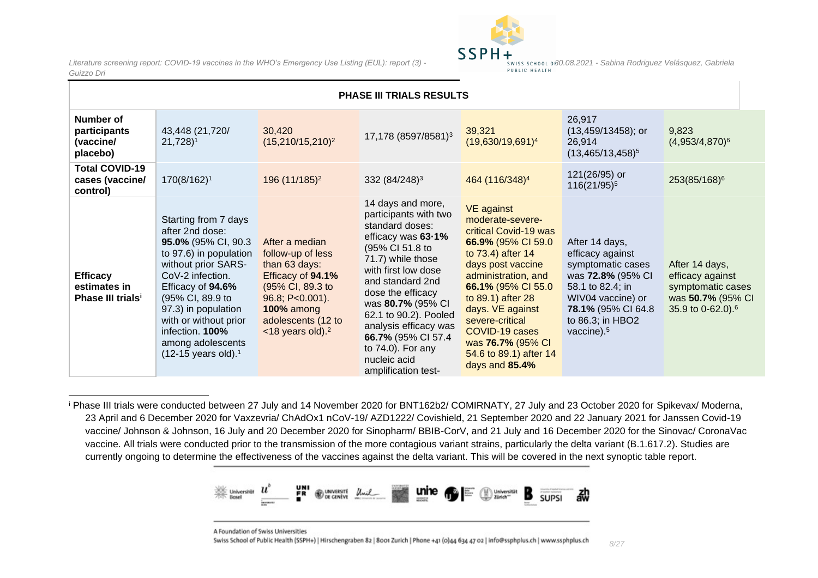

|                                                                  | PHASE III TRIALS RESULTS                                                                                                                                                                                                                                                                                           |                                                                                                                                                                                       |                                                                                                                                                                                                                                                                                                                                                         |                                                                                                                                                                                                                                                                                                                            |                                                                                                                                                                                  |                                                                                                               |  |  |
|------------------------------------------------------------------|--------------------------------------------------------------------------------------------------------------------------------------------------------------------------------------------------------------------------------------------------------------------------------------------------------------------|---------------------------------------------------------------------------------------------------------------------------------------------------------------------------------------|---------------------------------------------------------------------------------------------------------------------------------------------------------------------------------------------------------------------------------------------------------------------------------------------------------------------------------------------------------|----------------------------------------------------------------------------------------------------------------------------------------------------------------------------------------------------------------------------------------------------------------------------------------------------------------------------|----------------------------------------------------------------------------------------------------------------------------------------------------------------------------------|---------------------------------------------------------------------------------------------------------------|--|--|
| Number of<br>participants<br>(vaccine/<br>placebo)               | 43,448 (21,720/<br>$21,728$ <sup>1</sup>                                                                                                                                                                                                                                                                           | 30,420<br>$(15,210/15,210)^2$                                                                                                                                                         | 17,178 (8597/8581) <sup>3</sup>                                                                                                                                                                                                                                                                                                                         | 39,321<br>$(19,630/19,691)^4$                                                                                                                                                                                                                                                                                              | 26,917<br>$(13,459/13458)$ ; or<br>26,914<br>$(13,465/13,458)^5$                                                                                                                 | 9,823<br>$(4,953/4,870)^6$                                                                                    |  |  |
| <b>Total COVID-19</b><br>cases (vaccine/<br>control)             | 170(8/162) <sup>1</sup>                                                                                                                                                                                                                                                                                            | 196 (11/185) <sup>2</sup>                                                                                                                                                             | 332 (84/248) <sup>3</sup>                                                                                                                                                                                                                                                                                                                               | 464 (116/348) <sup>4</sup>                                                                                                                                                                                                                                                                                                 | 121(26/95) or<br>116(21/95) <sup>5</sup>                                                                                                                                         | 253(85/168) <sup>6</sup>                                                                                      |  |  |
| <b>Efficacy</b><br>estimates in<br>Phase III trials <sup>i</sup> | Starting from 7 days<br>after 2nd dose:<br>95.0% (95% CI, 90.3<br>to 97.6) in population<br>without prior SARS-<br>CoV-2 infection.<br>Efficacy of 94.6%<br>(95% CI, 89.9 to<br>97.3) in population<br>with or without prior<br>infection. 100%<br>among adolescents<br>$(12-15 \text{ years old})$ . <sup>1</sup> | After a median<br>follow-up of less<br>than 63 days:<br>Efficacy of 94.1%<br>(95% CI, 89.3 to<br>96.8; P<0.001).<br><b>100% among</b><br>adolescents (12 to<br>$<$ 18 years old). $2$ | 14 days and more,<br>participants with two<br>standard doses:<br>efficacy was 63-1%<br>(95% CI 51.8 to<br>71.7) while those<br>with first low dose<br>and standard 2nd<br>dose the efficacy<br>was 80.7% (95% CI<br>62.1 to 90.2). Pooled<br>analysis efficacy was<br>66.7% (95% CI 57.4<br>to $74.0$ ). For any<br>nucleic acid<br>amplification test- | <b>VE</b> against<br>moderate-severe-<br>critical Covid-19 was<br>66.9% (95% CI 59.0<br>to 73.4) after 14<br>days post vaccine<br>administration, and<br>66.1% (95% CI 55.0<br>to 89.1) after 28<br>days. VE against<br>severe-critical<br>COVID-19 cases<br>was 76.7% (95% CI<br>54.6 to 89.1) after 14<br>days and 85.4% | After 14 days,<br>efficacy against<br>symptomatic cases<br>was 72.8% (95% CI<br>58.1 to 82.4; in<br>WIV04 vaccine) or<br>78.1% (95% CI 64.8<br>to 86.3; in HBO2<br>vaccine). $5$ | After 14 days,<br>efficacy against<br>symptomatic cases<br>was 50.7% (95% CI<br>35.9 to 0-62.0). <sup>6</sup> |  |  |

<sup>i</sup> Phase III trials were conducted between 27 July and 14 November 2020 for BNT162b2/ COMIRNATY, 27 July and 23 October 2020 for Spikevax/ Moderna, 23 April and 6 December 2020 for Vaxzevria/ ChAdOx1 nCoV-19/ AZD1222/ Covishield, 21 September 2020 and 22 January 2021 for Janssen Covid-19 vaccine/ Johnson & Johnson, 16 July and 20 December 2020 for Sinopharm/ BBIB-CorV, and 21 July and 16 December 2020 for the Sinovac/ CoronaVac vaccine. All trials were conducted prior to the transmission of the more contagious variant strains, particularly the delta variant (B.1.617.2). Studies are currently ongoing to determine the effectiveness of the vaccines against the delta variant. This will be covered in the next synoptic table report.



A Foundation of Swiss Universities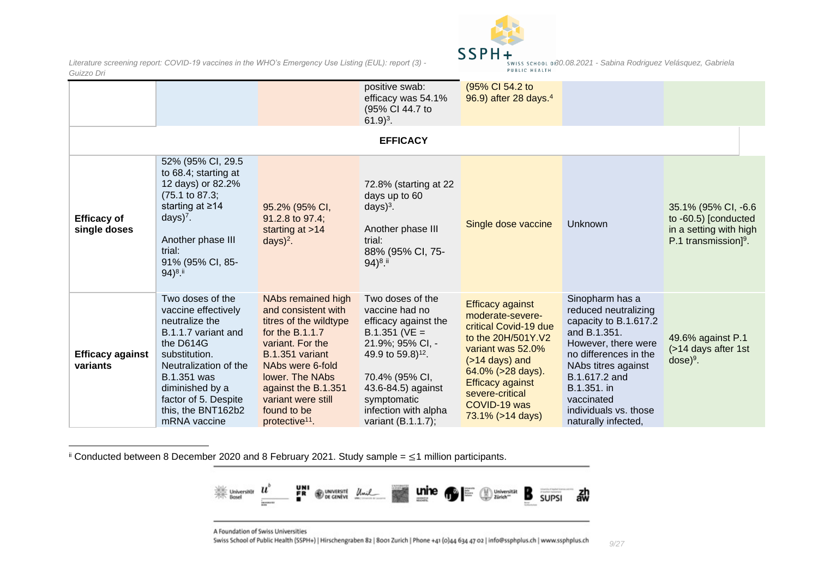

|                                     |                                                                                                                                                                                                                                                |                                                                                                                                                                                                                                                                  | positive swab:<br>efficacy was 54.1%<br>(95% CI 44.7 to<br>$61.9)^3$ .                                                                                                                                                                     | (95% CI 54.2 to<br>96.9) after 28 days. <sup>4</sup>                                                                                                                                                                                        |                                                                                                                                                                                                                                                       |                                                                                                     |
|-------------------------------------|------------------------------------------------------------------------------------------------------------------------------------------------------------------------------------------------------------------------------------------------|------------------------------------------------------------------------------------------------------------------------------------------------------------------------------------------------------------------------------------------------------------------|--------------------------------------------------------------------------------------------------------------------------------------------------------------------------------------------------------------------------------------------|---------------------------------------------------------------------------------------------------------------------------------------------------------------------------------------------------------------------------------------------|-------------------------------------------------------------------------------------------------------------------------------------------------------------------------------------------------------------------------------------------------------|-----------------------------------------------------------------------------------------------------|
|                                     |                                                                                                                                                                                                                                                |                                                                                                                                                                                                                                                                  | <b>EFFICACY</b>                                                                                                                                                                                                                            |                                                                                                                                                                                                                                             |                                                                                                                                                                                                                                                       |                                                                                                     |
| <b>Efficacy of</b><br>single doses  | 52% (95% CI, 29.5<br>to 68.4; starting at<br>12 days) or 82.2%<br>$(75.1 \text{ to } 87.3)$ ;<br>starting at $\geq 14$<br>days $)^7$ .<br>Another phase III<br>trial:<br>91% (95% CI, 85-<br>94) <sup>8</sup> .                                | 95.2% (95% CI,<br>91.2.8 to 97.4;<br>starting at $>14$<br>$days)^2$ .                                                                                                                                                                                            | 72.8% (starting at 22)<br>days up to 60<br>days $)^3$ .<br>Another phase III<br>trial:<br>88% (95% CI, 75-<br>$(94)^{8}$ .                                                                                                                 | Single dose vaccine                                                                                                                                                                                                                         | Unknown                                                                                                                                                                                                                                               | 35.1% (95% CI, -6.6<br>to $-60.5$ ) [conducted<br>in a setting with high<br>P.1 transmission] $9$ . |
| <b>Efficacy against</b><br>variants | Two doses of the<br>vaccine effectively<br>neutralize the<br>B.1.1.7 variant and<br>the D614G<br>substitution.<br>Neutralization of the<br><b>B.1.351 was</b><br>diminished by a<br>factor of 5. Despite<br>this, the BNT162b2<br>mRNA vaccine | NAbs remained high<br>and consistent with<br>titres of the wildtype<br>for the $B.1.1.7$<br>variant. For the<br>B.1.351 variant<br>NAbs were 6-fold<br>lower. The NAbs<br>against the B.1.351<br>variant were still<br>found to be<br>protective <sup>11</sup> . | Two doses of the<br>vaccine had no<br>efficacy against the<br>$B.1.351$ (VE =<br>21.9%; 95% CI, -<br>49.9 to 59.8) <sup>12</sup> .<br>70.4% (95% CI,<br>43.6-84.5) against<br>symptomatic<br>infection with alpha<br>variant $(B.1.1.7)$ ; | <b>Efficacy against</b><br>moderate-severe-<br>critical Covid-19 due<br>to the 20H/501Y.V2<br>variant was 52.0%<br>$($ >14 days) and<br>64.0% (>28 days).<br><b>Efficacy against</b><br>severe-critical<br>COVID-19 was<br>73.1% (>14 days) | Sinopharm has a<br>reduced neutralizing<br>capacity to B.1.617.2<br>and B.1.351.<br>However, there were<br>no differences in the<br>NAbs titres against<br>B.1.617.2 and<br>B.1.351. in<br>vaccinated<br>individuals vs. those<br>naturally infected, | 49.6% against P.1<br>(>14 days after 1st<br>$dose)^9$ .                                             |

ii Conducted between 8 December 2020 and 8 February 2021. Study sample = ≤1 million participants.



A Foundation of Swiss Universities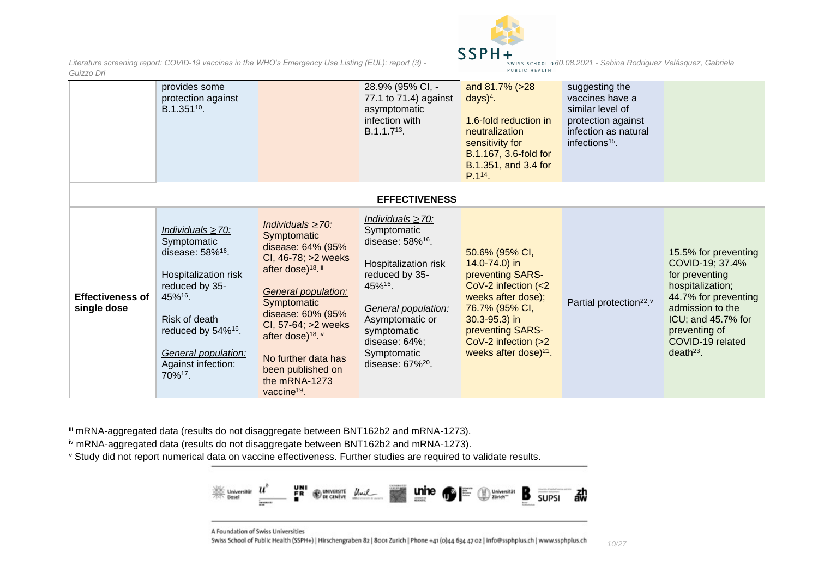

|                                        | provides some<br>protection against<br>B.1.351 <sup>10</sup> .                                                                                                                                                                                   |                                                                                                                                                                                                                                                                                                                               | 28.9% (95% CI, -<br>77.1 to 71.4) against<br>asymptomatic<br>infection with<br>B.1.1.7 <sup>13</sup> .                                                                                                                                          | and 81.7% (>28<br>$days)^4$ .<br>1.6-fold reduction in<br>neutralization<br>sensitivity for<br>B.1.167, 3.6-fold for<br>B.1.351, and 3.4 for<br>P.1 <sup>14</sup> .                                               | suggesting the<br>vaccines have a<br>similar level of<br>protection against<br>infection as natural<br>infections <sup>15</sup> . |                                                                                                                                                                                                        |
|----------------------------------------|--------------------------------------------------------------------------------------------------------------------------------------------------------------------------------------------------------------------------------------------------|-------------------------------------------------------------------------------------------------------------------------------------------------------------------------------------------------------------------------------------------------------------------------------------------------------------------------------|-------------------------------------------------------------------------------------------------------------------------------------------------------------------------------------------------------------------------------------------------|-------------------------------------------------------------------------------------------------------------------------------------------------------------------------------------------------------------------|-----------------------------------------------------------------------------------------------------------------------------------|--------------------------------------------------------------------------------------------------------------------------------------------------------------------------------------------------------|
|                                        |                                                                                                                                                                                                                                                  |                                                                                                                                                                                                                                                                                                                               | <b>EFFECTIVENESS</b>                                                                                                                                                                                                                            |                                                                                                                                                                                                                   |                                                                                                                                   |                                                                                                                                                                                                        |
| <b>Effectiveness of</b><br>single dose | Individuals $\geq$ 70:<br>Symptomatic<br>disease: 58% <sup>16</sup> .<br>Hospitalization risk<br>reduced by 35-<br>45%16.<br>Risk of death<br>reduced by 54% <sup>16</sup> .<br>General population:<br>Against infection:<br>70% <sup>17</sup> . | Individuals $\geq$ 70:<br>Symptomatic<br>disease: 64% (95%<br>CI, 46-78; >2 weeks<br>after dose) <sup>18</sup> .iii<br>General population:<br>Symptomatic<br>disease: 60% (95%<br>CI, 57-64; >2 weeks<br>after dose) <sup>18 iv</sup><br>No further data has<br>been published on<br>the mRNA-1273<br>vaccine <sup>19</sup> . | Individuals $\geq$ 70:<br>Symptomatic<br>disease: $58\%$ <sup>16</sup> .<br>Hospitalization risk<br>reduced by 35-<br>45%16.<br>General population:<br>Asymptomatic or<br>symptomatic<br>disease: 64%;<br>Symptomatic<br>disease: $67\%^{20}$ . | 50.6% (95% CI,<br>14.0-74.0) in<br>preventing SARS-<br>CoV-2 infection $(<2$<br>weeks after dose);<br>76.7% (95% CI,<br>$30.3 - 95.3$ ) in<br>preventing SARS-<br>CoV-2 infection (>2<br>weeks after dose) $21$ . | Partial protection <sup>22</sup> . <sup>v</sup>                                                                                   | 15.5% for preventing<br>COVID-19; 37.4%<br>for preventing<br>hospitalization;<br>44.7% for preventing<br>admission to the<br>ICU; and 45.7% for<br>preventing of<br>COVID-19 related<br>$death^{23}$ . |

iii mRNA-aggregated data (results do not disaggregate between BNT162b2 and mRNA-1273).

iv mRNA-aggregated data (results do not disaggregate between BNT162b2 and mRNA-1273).

<sup>v</sup> Study did not report numerical data on vaccine effectiveness. Further studies are required to validate results.



A Foundation of Swiss Universities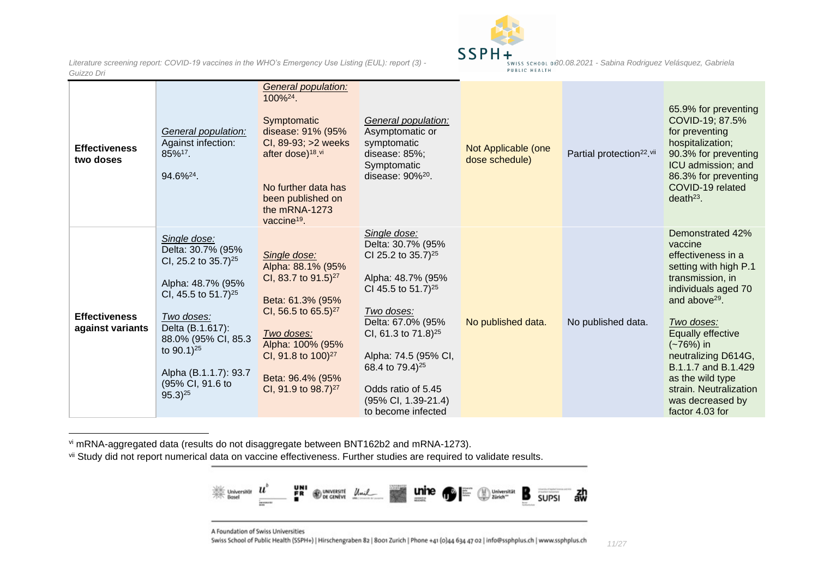

*Literature screening report: COVID-19 vaccines in the WHO's Emergency Use Listing (EUL): report (3) -Guizzo Dri*

| SWISS SCHOOL 0F30.08.2021 - Sabina Rodriguez Velásquez, Gabriela |  |  |  |
|------------------------------------------------------------------|--|--|--|
| PUBLIC HEALTH                                                    |  |  |  |
|                                                                  |  |  |  |

| <b>Effectiveness</b><br>two doses        | General population:<br>Against infection:<br>85%17.<br>94.6% <sup>24</sup> .                                                                                                                                                                                                   | General population:<br>100% <sup>24</sup> .<br>Symptomatic<br>disease: 91% (95%<br>CI, 89-93; >2 weeks<br>after dose) <sup>18 vi</sup><br>No further data has<br>been published on<br>the mRNA-1273<br>vaccine <sup>19</sup> .                         | General population:<br>Asymptomatic or<br>symptomatic<br>disease: $85\%$ ;<br>Symptomatic<br>disease: $90\%^{20}$ .                                                                                                                                                                                                           | Not Applicable (one<br>dose schedule) | Partial protection <sup>22</sup> .vii | 65.9% for preventing<br>COVID-19; 87.5%<br>for preventing<br>hospitalization;<br>90.3% for preventing<br>ICU admission; and<br>86.3% for preventing<br>COVID-19 related<br>$death^{23}$ .                                                                                                                                      |
|------------------------------------------|--------------------------------------------------------------------------------------------------------------------------------------------------------------------------------------------------------------------------------------------------------------------------------|--------------------------------------------------------------------------------------------------------------------------------------------------------------------------------------------------------------------------------------------------------|-------------------------------------------------------------------------------------------------------------------------------------------------------------------------------------------------------------------------------------------------------------------------------------------------------------------------------|---------------------------------------|---------------------------------------|--------------------------------------------------------------------------------------------------------------------------------------------------------------------------------------------------------------------------------------------------------------------------------------------------------------------------------|
| <b>Effectiveness</b><br>against variants | Single dose:<br>Delta: 30.7% (95%<br>CI, 25.2 to $35.7$ <sup>25</sup><br>Alpha: 48.7% (95%<br>CI, 45.5 to 51.7) <sup>25</sup><br>Two doses:<br>Delta (B.1.617):<br>88.0% (95% CI, 85.3<br>to $90.1$ <sup>25</sup><br>Alpha (B.1.1.7): 93.7<br>(95% CI, 91.6 to<br>$95.3)^{25}$ | Single dose:<br>Alpha: 88.1% (95%<br>CI, 83.7 to 91.5) <sup>27</sup><br>Beta: 61.3% (95%<br>CI, 56.5 to 65.5) <sup>27</sup><br>Two doses:<br>Alpha: 100% (95%<br>CI, 91.8 to 100) <sup>27</sup><br>Beta: 96.4% (95%<br>CI, 91.9 to 98.7) <sup>27</sup> | Single dose:<br>Delta: 30.7% (95%<br>CI 25.2 to $35.7$ <sup>25</sup><br>Alpha: 48.7% (95%<br>CI 45.5 to 51.7) <sup>25</sup><br>Two doses:<br>Delta: 67.0% (95%<br>CI, 61.3 to $71.8$ <sup>25</sup><br>Alpha: 74.5 (95% CI,<br>68.4 to $79.4$ <sup>25</sup><br>Odds ratio of 5.45<br>(95% CI, 1.39-21.4)<br>to become infected | No published data.                    | No published data.                    | Demonstrated 42%<br>vaccine<br>effectiveness in a<br>setting with high P.1<br>transmission, in<br>individuals aged 70<br>and above $29$ .<br>Two doses:<br>Equally effective<br>$(-76%)$ in<br>neutralizing D614G,<br>B.1.1.7 and B.1.429<br>as the wild type<br>strain. Neutralization<br>was decreased by<br>factor 4.03 for |

vi mRNA-aggregated data (results do not disaggregate between BNT162b2 and mRNA-1273).

vii Study did not report numerical data on vaccine effectiveness. Further studies are required to validate results.



A Foundation of Swiss Universities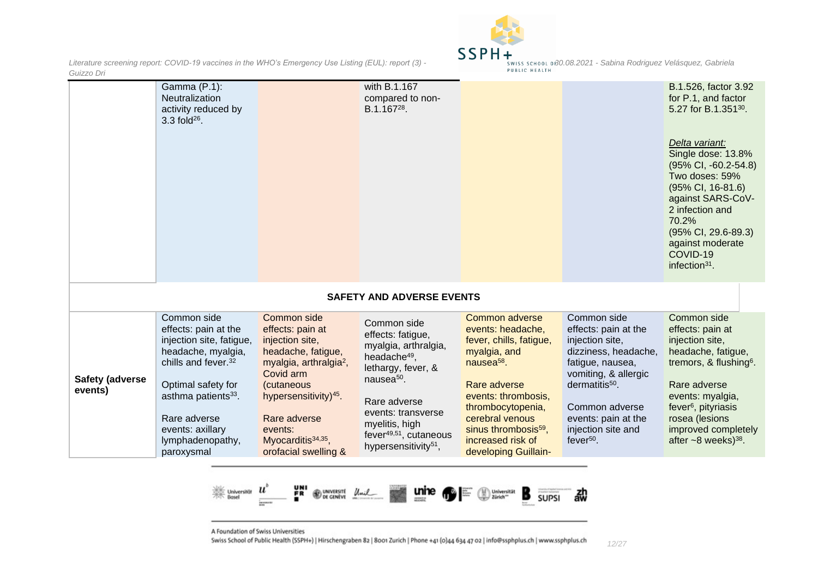

|                                   | Gamma (P.1):<br>Neutralization<br>activity reduced by<br>$3.3$ fold <sup>26</sup> .                                                                                                                                                                     |                                                                                                                                                                                                                                                                     | with B.1.167<br>compared to non-<br>B.1.167 <sup>28</sup> .                                                                                                                                                                                                            |                                                                                                                                                                                                                                                                          |                                                                                                                                                                                                                                                     | B.1.526, factor 3.92<br>for P.1, and factor<br>5.27 for B.1.35130.<br>Delta variant:<br>Single dose: 13.8%<br>$(95\% \text{ Cl}, -60.2 -54.8)$<br>Two doses: 59%<br>(95% CI, 16-81.6)<br>against SARS-CoV-<br>2 infection and<br>70.2%<br>$(95\% \text{ Cl}, 29.6-89.3)$<br>against moderate<br>COVID-19<br>infection $31$ . |
|-----------------------------------|---------------------------------------------------------------------------------------------------------------------------------------------------------------------------------------------------------------------------------------------------------|---------------------------------------------------------------------------------------------------------------------------------------------------------------------------------------------------------------------------------------------------------------------|------------------------------------------------------------------------------------------------------------------------------------------------------------------------------------------------------------------------------------------------------------------------|--------------------------------------------------------------------------------------------------------------------------------------------------------------------------------------------------------------------------------------------------------------------------|-----------------------------------------------------------------------------------------------------------------------------------------------------------------------------------------------------------------------------------------------------|------------------------------------------------------------------------------------------------------------------------------------------------------------------------------------------------------------------------------------------------------------------------------------------------------------------------------|
|                                   |                                                                                                                                                                                                                                                         |                                                                                                                                                                                                                                                                     | <b>SAFETY AND ADVERSE EVENTS</b>                                                                                                                                                                                                                                       |                                                                                                                                                                                                                                                                          |                                                                                                                                                                                                                                                     |                                                                                                                                                                                                                                                                                                                              |
| <b>Safety (adverse</b><br>events) | Common side<br>effects: pain at the<br>injection site, fatigue,<br>headache, myalgia,<br>chills and fever. <sup>32</sup><br>Optimal safety for<br>asthma patients <sup>33</sup> .<br>Rare adverse<br>events: axillary<br>lymphadenopathy,<br>paroxysmal | Common side<br>effects: pain at<br>injection site,<br>headache, fatigue,<br>myalgia, arthralgia <sup>2</sup> ,<br>Covid arm<br>(cutaneous<br>hypersensitivity) <sup>45</sup> .<br>Rare adverse<br>events:<br>Myocarditis <sup>34,35</sup> ,<br>orofacial swelling & | Common side<br>effects: fatigue,<br>myalgia, arthralgia,<br>headache <sup>49</sup> ,<br>lethargy, fever, &<br>nausea <sup>50</sup> .<br>Rare adverse<br>events: transverse<br>myelitis, high<br>fever <sup>49,51</sup> , cutaneous<br>hypersensitivity <sup>51</sup> , | Common adverse<br>events: headache,<br>fever, chills, fatigue,<br>myalgia, and<br>nausea <sup>58</sup> .<br>Rare adverse<br>events: thrombosis,<br>thrombocytopenia,<br>cerebral venous<br>sinus thrombosis <sup>59</sup> ,<br>increased risk of<br>developing Guillain- | Common side<br>effects: pain at the<br>injection site,<br>dizziness, headache,<br>fatigue, nausea,<br>vomiting, & allergic<br>$d$ ermatitis <sup>50</sup> .<br>Common adverse<br>events: pain at the<br>injection site and<br>fever <sup>50</sup> . | Common side<br>effects: pain at<br>injection site,<br>headache, fatigue,<br>tremors, & flushing <sup>6</sup> .<br>Rare adverse<br>events: myalgia,<br>fever <sup>6</sup> , pityriasis<br>rosea (lesions<br>improved completely<br>after $\sim$ 8 weeks) <sup>38</sup> .                                                      |



A Foundation of Swiss Universities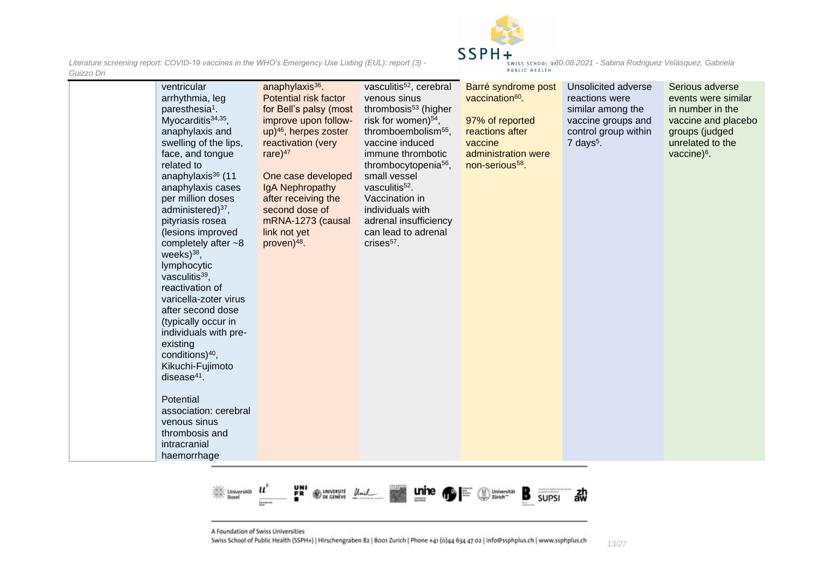

|               | SWISS SCHOOL 0f30.08.2021 - Sabina Rodriguez Velásquez, Gabriela |  |  |
|---------------|------------------------------------------------------------------|--|--|
| PUBLIC HEALTH |                                                                  |  |  |

| ventricular<br>arrhythmia, leg<br>paresthesia <sup>1</sup> .<br>Myocarditis $34,35$ ,<br>anaphylaxis and<br>swelling of the lips,<br>face, and tongue<br>related to<br>anaphylaxis <sup>36</sup> (11<br>anaphylaxis cases<br>per million doses<br>administered) <sup>37</sup> ,<br>pityriasis rosea<br>(lesions improved<br>completely after $~18$<br>weeks $)^{38}$ ,<br>lymphocytic<br>vasculitis <sup>39</sup> ,<br>reactivation of<br>varicella-zoter virus<br>after second dose<br>(typically occur in<br>individuals with pre-<br>existing<br>conditions) $40$ ,<br>Kikuchi-Fujimoto<br>disease $41$ .<br>Potential<br>association: cerebral | anaphylaxis $36$ .<br>Potential risk factor<br>for Bell's palsy (most<br>improve upon follow-<br>up) <sup>46</sup> , herpes zoster<br>reactivation (very<br>rare $)^{47}$<br>One case developed<br>IgA Nephropathy<br>after receiving the<br>second dose of<br>mRNA-1273 (causal<br>link not yet<br>proven) <sup>48</sup> . | vasculitis <sup>52</sup> , cerebral<br>venous sinus<br>thrombosis <sup>53</sup> (higher<br>risk for women) <sup>54</sup> ,<br>thromboembolism <sup>55</sup> ,<br>vaccine induced<br>immune thrombotic<br>thrombocytopenia <sup>56</sup> ,<br>small vessel<br>vasculitis <sup>52</sup> .<br>Vaccination in<br>individuals with<br>adrenal insufficiency<br>can lead to adrenal<br>$crises57$ . | Barré syndrome post<br>vaccination <sup>60</sup> .<br>97% of reported<br>reactions after<br>vaccine<br>administration were<br>non-serious <sup>58</sup> . | Unsolicited adverse<br>reactions were<br>similar among the<br>vaccine groups and<br>control group within<br>$7$ days <sup>5</sup> . | Serious adverse<br>events were similar<br>in number in the<br>vaccine and placebo<br>groups (judged<br>unrelated to the<br>vaccine) <sup>6</sup> . |
|----------------------------------------------------------------------------------------------------------------------------------------------------------------------------------------------------------------------------------------------------------------------------------------------------------------------------------------------------------------------------------------------------------------------------------------------------------------------------------------------------------------------------------------------------------------------------------------------------------------------------------------------------|-----------------------------------------------------------------------------------------------------------------------------------------------------------------------------------------------------------------------------------------------------------------------------------------------------------------------------|-----------------------------------------------------------------------------------------------------------------------------------------------------------------------------------------------------------------------------------------------------------------------------------------------------------------------------------------------------------------------------------------------|-----------------------------------------------------------------------------------------------------------------------------------------------------------|-------------------------------------------------------------------------------------------------------------------------------------|----------------------------------------------------------------------------------------------------------------------------------------------------|
| venous sinus                                                                                                                                                                                                                                                                                                                                                                                                                                                                                                                                                                                                                                       |                                                                                                                                                                                                                                                                                                                             |                                                                                                                                                                                                                                                                                                                                                                                               |                                                                                                                                                           |                                                                                                                                     |                                                                                                                                                    |
| thrombosis and<br>intracranial                                                                                                                                                                                                                                                                                                                                                                                                                                                                                                                                                                                                                     |                                                                                                                                                                                                                                                                                                                             |                                                                                                                                                                                                                                                                                                                                                                                               |                                                                                                                                                           |                                                                                                                                     |                                                                                                                                                    |
| haemorrhage                                                                                                                                                                                                                                                                                                                                                                                                                                                                                                                                                                                                                                        |                                                                                                                                                                                                                                                                                                                             |                                                                                                                                                                                                                                                                                                                                                                                               |                                                                                                                                                           |                                                                                                                                     |                                                                                                                                                    |



A Foundation of Swiss Universities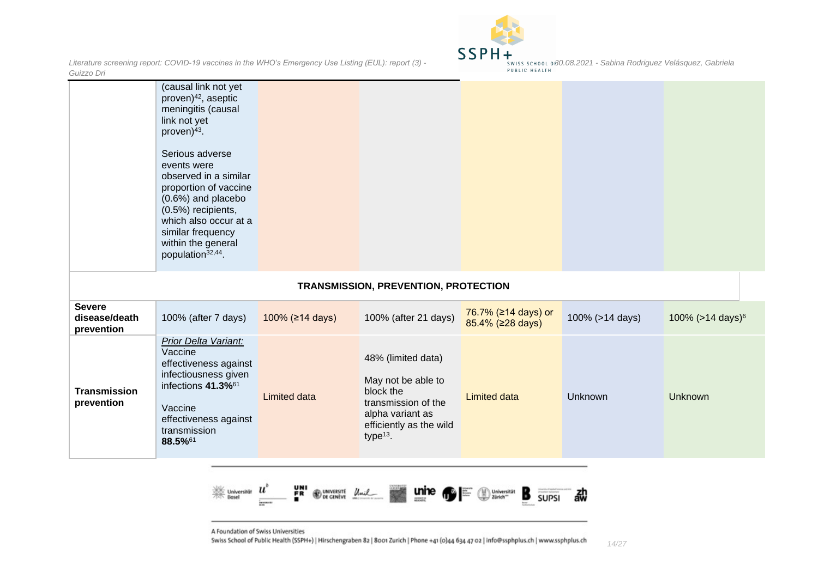

|                                              | (causal link not yet<br>proven) <sup>42</sup> , aseptic<br>meningitis (causal<br>link not yet<br>proven) <sup>43</sup> .<br>Serious adverse<br>events were<br>observed in a similar<br>proportion of vaccine<br>(0.6%) and placebo<br>(0.5%) recipients,<br>which also occur at a<br>similar frequency<br>within the general<br>population <sup>32,44</sup> . |                 |                                                                                                                                            |                                         |                 |                              |
|----------------------------------------------|---------------------------------------------------------------------------------------------------------------------------------------------------------------------------------------------------------------------------------------------------------------------------------------------------------------------------------------------------------------|-----------------|--------------------------------------------------------------------------------------------------------------------------------------------|-----------------------------------------|-----------------|------------------------------|
|                                              |                                                                                                                                                                                                                                                                                                                                                               |                 | <b>TRANSMISSION, PREVENTION, PROTECTION</b>                                                                                                |                                         |                 |                              |
| <b>Severe</b><br>disease/death<br>prevention | 100% (after 7 days)                                                                                                                                                                                                                                                                                                                                           | 100% (≥14 days) | 100% (after 21 days)                                                                                                                       | 76.7% (≥14 days) or<br>85.4% (≥28 days) | 100% (>14 days) | 100% (>14 days) <sup>6</sup> |
| <b>Transmission</b><br>prevention            | Prior Delta Variant:<br>Vaccine<br>effectiveness against<br>infectiousness given<br>infections 41.3% <sup>61</sup><br>Vaccine<br>effectiveness against<br>transmission<br>88.5%61                                                                                                                                                                             | Limited data    | 48% (limited data)<br>May not be able to<br>block the<br>transmission of the<br>alpha variant as<br>efficiently as the wild<br>type $13$ . | <b>Limited data</b>                     | <b>Unknown</b>  | Unknown                      |



A Foundation of Swiss Universities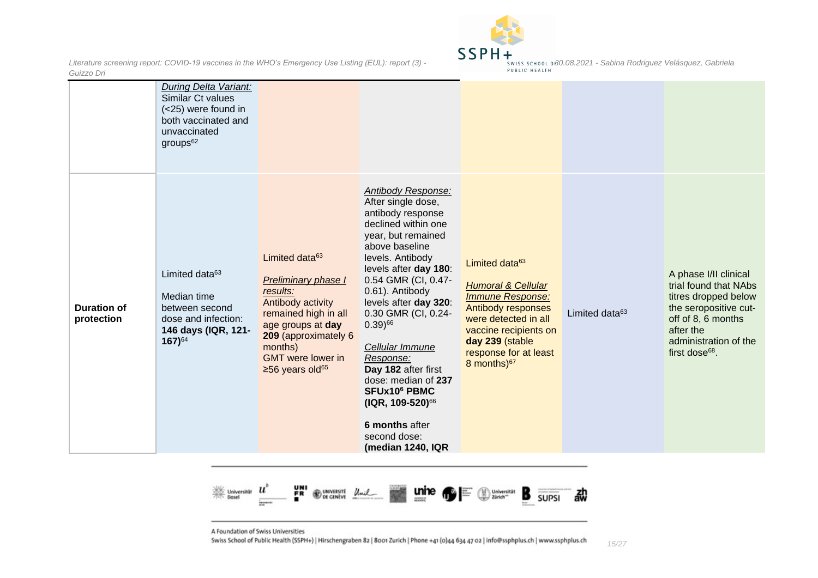

|                                  | During Delta Variant:<br>Similar Ct values<br>(<25) were found in<br>both vaccinated and<br>unvaccinated<br>$groups^{62}$       |                                                                                                                                                                                                                                     |                                                                                                                                                                                                                                                                                                                                                                                                                                                                                                     |                                                                                                                                                                                                                                      |                            |                                                                                                                                                                                           |
|----------------------------------|---------------------------------------------------------------------------------------------------------------------------------|-------------------------------------------------------------------------------------------------------------------------------------------------------------------------------------------------------------------------------------|-----------------------------------------------------------------------------------------------------------------------------------------------------------------------------------------------------------------------------------------------------------------------------------------------------------------------------------------------------------------------------------------------------------------------------------------------------------------------------------------------------|--------------------------------------------------------------------------------------------------------------------------------------------------------------------------------------------------------------------------------------|----------------------------|-------------------------------------------------------------------------------------------------------------------------------------------------------------------------------------------|
| <b>Duration of</b><br>protection | Limited data <sup>63</sup><br>Median time<br>between second<br>dose and infection:<br>146 days (IQR, 121-<br>167) <sup>64</sup> | Limited data <sup>63</sup><br>Preliminary phase I<br>results:<br>Antibody activity<br>remained high in all<br>age groups at day<br>209 (approximately 6<br>months)<br><b>GMT</b> were lower in<br>$\geq$ 56 years old <sup>65</sup> | Antibody Response:<br>After single dose,<br>antibody response<br>declined within one<br>year, but remained<br>above baseline<br>levels. Antibody<br>levels after day 180:<br>0.54 GMR (CI, 0.47-<br>0.61). Antibody<br>levels after day 320:<br>0.30 GMR (CI, 0.24-<br>$0.39)$ <sup>66</sup><br>Cellular Immune<br>Response:<br>Day 182 after first<br>dose: median of 237<br><b>SFUx10<sup>6</sup> PBMC</b><br>(IQR, 109-520) <sup>66</sup><br>6 months after<br>second dose:<br>(median 1240, IQR | Limited data <sup>63</sup><br><b>Humoral &amp; Cellular</b><br><b>Immune Response:</b><br>Antibody responses<br>were detected in all<br>vaccine recipients on<br>day 239 (stable<br>response for at least<br>8 months) <sup>67</sup> | Limited data <sup>63</sup> | A phase I/II clinical<br>trial found that NAbs<br>titres dropped below<br>the seropositive cut-<br>off of 8, 6 months<br>after the<br>administration of the<br>first dose <sup>68</sup> . |



A Foundation of Swiss Universities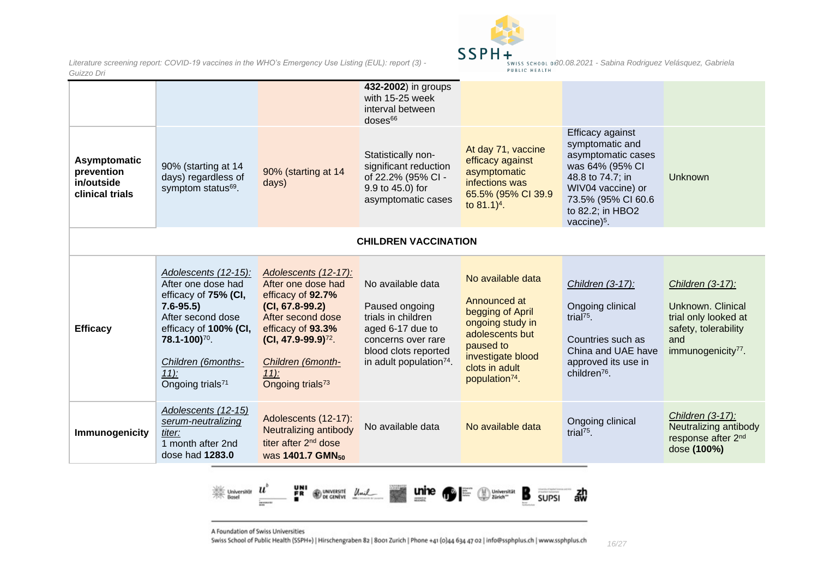

|                                                             |                                                                                                                                                                                                                                      |                                                                                                                                                                                                                           | 432-2002) in groups<br>with 15-25 week<br>interval between<br>$doses$ <sup>66</sup>                                                                                |                                                                                                                                                                                |                                                                                                                                                                                  |                                                                                                                                |  |
|-------------------------------------------------------------|--------------------------------------------------------------------------------------------------------------------------------------------------------------------------------------------------------------------------------------|---------------------------------------------------------------------------------------------------------------------------------------------------------------------------------------------------------------------------|--------------------------------------------------------------------------------------------------------------------------------------------------------------------|--------------------------------------------------------------------------------------------------------------------------------------------------------------------------------|----------------------------------------------------------------------------------------------------------------------------------------------------------------------------------|--------------------------------------------------------------------------------------------------------------------------------|--|
| Asymptomatic<br>prevention<br>in/outside<br>clinical trials | 90% (starting at 14<br>days) regardless of<br>symptom status <sup>69</sup> .                                                                                                                                                         | 90% (starting at 14<br>days)                                                                                                                                                                                              | Statistically non-<br>significant reduction<br>of 22.2% (95% CI -<br>9.9 to 45.0) for<br>asymptomatic cases                                                        | At day 71, vaccine<br>efficacy against<br>asymptomatic<br>infections was<br>65.5% (95% CI 39.9<br>to $81.1$ <sup>4</sup> .                                                     | Efficacy against<br>symptomatic and<br>asymptomatic cases<br>was 64% (95% CI<br>48.8 to 74.7; in<br>WIV04 vaccine) or<br>73.5% (95% CI 60.6<br>to 82.2; in HBO2<br>vaccine $5$ . | Unknown                                                                                                                        |  |
| <b>CHILDREN VACCINATION</b>                                 |                                                                                                                                                                                                                                      |                                                                                                                                                                                                                           |                                                                                                                                                                    |                                                                                                                                                                                |                                                                                                                                                                                  |                                                                                                                                |  |
| <b>Efficacy</b>                                             | Adolescents (12-15):<br>After one dose had<br>efficacy of 75% (CI,<br>$7.6 - 95.5$<br>After second dose<br>efficacy of 100% (CI,<br><b>78.1-100)</b> <sup>70</sup> .<br>Children (6months-<br>$11$ :<br>Ongoing trials <sup>71</sup> | Adolescents (12-17):<br>After one dose had<br>efficacy of 92.7%<br>$(CI, 67.8-99.2)$<br>After second dose<br>efficacy of 93.3%<br>$(CI, 47.9-99.9)^{72}$ .<br>Children (6month-<br>$11$ :<br>Ongoing trials <sup>73</sup> | No available data<br>Paused ongoing<br>trials in children<br>aged 6-17 due to<br>concerns over rare<br>blood clots reported<br>in adult population <sup>74</sup> . | No available data<br>Announced at<br>begging of April<br>ongoing study in<br>adolescents but<br>paused to<br>investigate blood<br>clots in adult<br>population <sup>74</sup> . | Children (3-17):<br>Ongoing clinical<br>trial $75$ .<br>Countries such as<br>China and UAE have<br>approved its use in<br>children <sup>76</sup> .                               | Children (3-17):<br>Unknown. Clinical<br>trial only looked at<br>safety, tolerability<br>and<br>immunogenicity <sup>77</sup> . |  |
| Immunogenicity                                              | Adolescents (12-15)<br>serum-neutralizing<br>titer:<br>1 month after 2nd<br>dose had 1283.0                                                                                                                                          | Adolescents (12-17):<br>Neutralizing antibody<br>titer after 2 <sup>nd</sup> dose<br>was 1401.7 GMN <sub>50</sub>                                                                                                         | No available data                                                                                                                                                  | No available data                                                                                                                                                              | Ongoing clinical<br>trial $75$ .                                                                                                                                                 | Children (3-17):<br>Neutralizing antibody<br>response after 2nd<br>dose (100%)                                                 |  |



A Foundation of Swiss Universities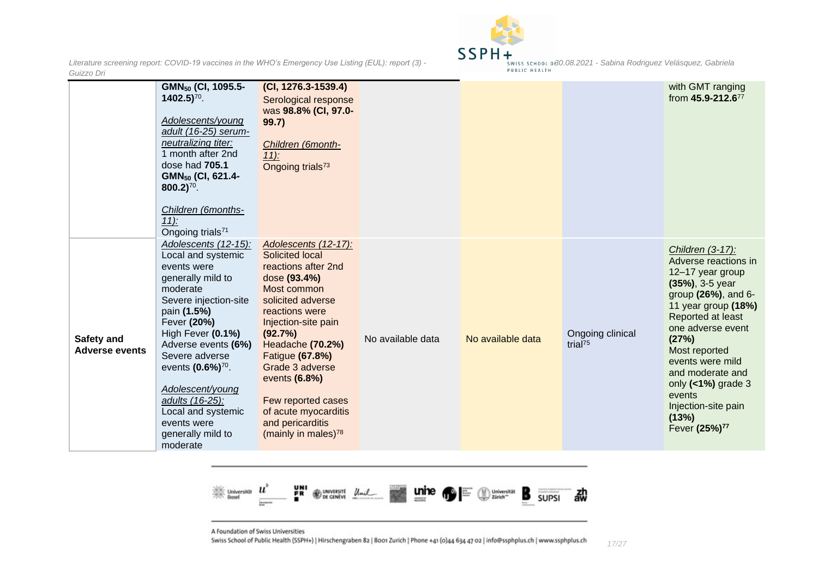

|                                     | GMN <sub>50</sub> (CI, 1095.5-<br>$1402.5$ <sup>70</sup> .<br>Adolescents/young<br>adult (16-25) serum-<br>neutralizing titer:<br>1 month after 2nd<br>dose had 705.1<br>GMN <sub>50</sub> (CI, 621.4-<br>$800.2$ <sup>70</sup> .<br>Children (6months-                                                                                                                                                 | $(CI, 1276.3 - 1539.4)$<br>Serological response<br>was 98.8% (CI, 97.0-<br>99.7)<br>Children (6month-<br>$11$ :<br>Ongoing trials <sup>73</sup>                                                                                                                                                                                                  |                   |                   |                                         | with GMT ranging<br>from 45.9-212.677                                                                                                                                                                                                                                                                                                          |
|-------------------------------------|---------------------------------------------------------------------------------------------------------------------------------------------------------------------------------------------------------------------------------------------------------------------------------------------------------------------------------------------------------------------------------------------------------|--------------------------------------------------------------------------------------------------------------------------------------------------------------------------------------------------------------------------------------------------------------------------------------------------------------------------------------------------|-------------------|-------------------|-----------------------------------------|------------------------------------------------------------------------------------------------------------------------------------------------------------------------------------------------------------------------------------------------------------------------------------------------------------------------------------------------|
| Safety and<br><b>Adverse events</b> | $11$ :<br>Ongoing trials <sup>71</sup><br>Adolescents (12-15):<br>Local and systemic<br>events were<br>generally mild to<br>moderate<br>Severe injection-site<br>pain (1.5%)<br>Fever (20%)<br>High Fever (0.1%)<br>Adverse events (6%)<br>Severe adverse<br>events (0.6%) <sup>70</sup> .<br>Adolescent/young<br>adults (16-25):<br>Local and systemic<br>events were<br>generally mild to<br>moderate | Adolescents (12-17):<br>Solicited local<br>reactions after 2nd<br>dose (93.4%)<br>Most common<br>solicited adverse<br>reactions were<br>Injection-site pain<br>(92.7%)<br>Headache (70.2%)<br>Fatigue (67.8%)<br>Grade 3 adverse<br>events (6.8%)<br>Few reported cases<br>of acute myocarditis<br>and pericarditis<br>(mainly in males) $^{78}$ | No available data | No available data | Ongoing clinical<br>trial <sup>75</sup> | Children (3-17):<br>Adverse reactions in<br>12-17 year group<br>$(35\%)$ , 3-5 year<br>group (26%), and 6-<br>11 year group (18%)<br>Reported at least<br>one adverse event<br>(27%)<br>Most reported<br>events were mild<br>and moderate and<br>only $($ < 1%) grade 3<br>events<br>Injection-site pain<br>(13%)<br>Fever (25%) <sup>77</sup> |



A Foundation of Swiss Universities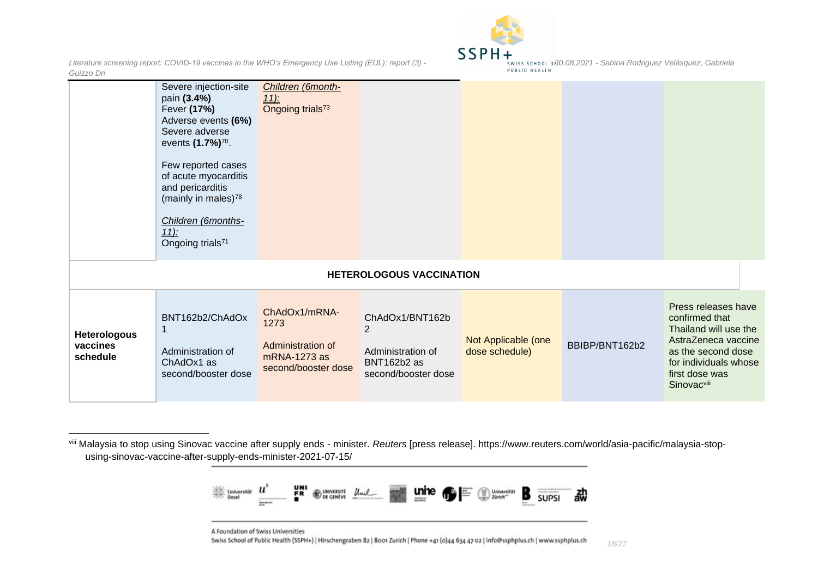



|                                             | Severe injection-site<br>pain (3.4%)<br>Fever (17%)<br>Adverse events (6%)<br>Severe adverse<br>events (1.7%) <sup>70</sup> .<br>Few reported cases<br>of acute myocarditis<br>and pericarditis<br>(mainly in males) <sup>78</sup><br>Children (6months-<br>$11$ :<br>Ongoing trials <sup>71</sup> | Children (6month-<br><u>11):</u><br>Ongoing trials <sup>73</sup>                  |                                                                                              |                                       |                |                                                                                                                                                                                   |
|---------------------------------------------|----------------------------------------------------------------------------------------------------------------------------------------------------------------------------------------------------------------------------------------------------------------------------------------------------|-----------------------------------------------------------------------------------|----------------------------------------------------------------------------------------------|---------------------------------------|----------------|-----------------------------------------------------------------------------------------------------------------------------------------------------------------------------------|
|                                             |                                                                                                                                                                                                                                                                                                    |                                                                                   | <b>HETEROLOGOUS VACCINATION</b>                                                              |                                       |                |                                                                                                                                                                                   |
| <b>Heterologous</b><br>vaccines<br>schedule | BNT162b2/ChAdOx<br>1<br>Administration of<br>ChAdOx1 as<br>second/booster dose                                                                                                                                                                                                                     | ChAdOx1/mRNA-<br>1273<br>Administration of<br>mRNA-1273 as<br>second/booster dose | ChAdOx1/BNT162b<br>$\overline{2}$<br>Administration of<br>BNT162b2 as<br>second/booster dose | Not Applicable (one<br>dose schedule) | BBIBP/BNT162b2 | Press releases have<br>confirmed that<br>Thailand will use the<br>AstraZeneca vaccine<br>as the second dose<br>for individuals whose<br>first dose was<br>Sinovac <sup>viii</sup> |

viii Malaysia to stop using Sinovac vaccine after supply ends - minister. *Reuters* [press release]. https://www.reuters.com/world/asia-pacific/malaysia-stopusing-sinovac-vaccine-after-supply-ends-minister-2021-07-15/



A Foundation of Swiss Universities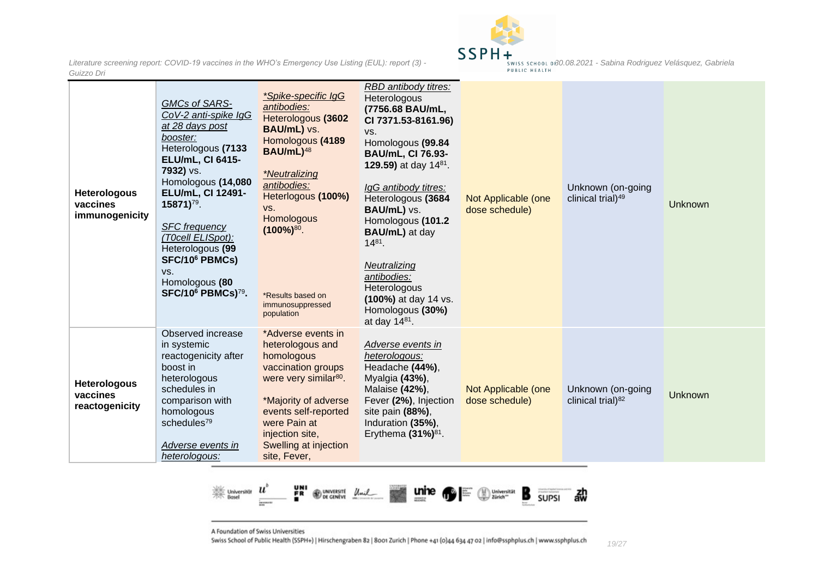

| <b>Heterologous</b><br>vaccines<br>immunogenicity | GMCs of SARS-<br>CoV-2 anti-spike IgG<br>at 28 days post<br>booster:<br>Heterologous (7133<br><b>ELU/mL, CI 6415-</b><br>7932) vs.<br>Homologous (14,080<br>ELU/mL, CI 12491-<br>15871) <sup>79</sup> .<br><b>SFC</b> frequency<br>(T0cell ELISpot):<br>Heterologous (99<br>SFC/10 <sup>6</sup> PBMCs)<br>VS.<br>Homologous (80<br>SFC/10 <sup>6</sup> PBMCs) <sup>79</sup> . | *Spike-specific IgG<br>antibodies:<br>Heterologous (3602<br>BAU/mL) vs.<br>Homologous (4189<br>BAU/mL) <sup>48</sup><br><i>*Neutralizing</i><br>antibodies:<br>Heterlogous (100%)<br>VS.<br>Homologous<br>$(100\%)^{80}$ .<br>*Results based on<br>immunosuppressed<br>population | RBD antibody titres:<br>Heterologous<br>(7756.68 BAU/mL,<br>CI 7371.53-8161.96)<br>VS.<br>Homologous (99.84<br><b>BAU/mL, CI 76.93-</b><br>129.59) at day $14^{81}$ .<br>IgG antibody titres:<br>Heterologous (3684<br>BAU/mL) vs.<br>Homologous (101.2<br><b>BAU/mL)</b> at day<br>$14^{81}$ .<br>Neutralizing<br>antibodies:<br>Heterologous<br>(100%) at day 14 vs.<br>Homologous (30%)<br>at day $14^{81}$ . | Not Applicable (one<br>dose schedule) | Unknown (on-going<br>clinical trial) <sup>49</sup> | Unknown |
|---------------------------------------------------|-------------------------------------------------------------------------------------------------------------------------------------------------------------------------------------------------------------------------------------------------------------------------------------------------------------------------------------------------------------------------------|-----------------------------------------------------------------------------------------------------------------------------------------------------------------------------------------------------------------------------------------------------------------------------------|------------------------------------------------------------------------------------------------------------------------------------------------------------------------------------------------------------------------------------------------------------------------------------------------------------------------------------------------------------------------------------------------------------------|---------------------------------------|----------------------------------------------------|---------|
| <b>Heterologous</b><br>vaccines<br>reactogenicity | Observed increase<br>in systemic<br>reactogenicity after<br>boost in<br>heterologous<br>schedules in<br>comparison with<br>homologous<br>schedules <sup>79</sup><br>Adverse events in<br>heterologous:                                                                                                                                                                        | *Adverse events in<br>heterologous and<br>homologous<br>vaccination groups<br>were very similar <sup>80</sup> .<br>*Majority of adverse<br>events self-reported<br>were Pain at<br>injection site,<br>Swelling at injection<br>site, Fever,                                       | Adverse events in<br>heterologous:<br>Headache (44%),<br>Myalgia (43%),<br>Malaise (42%),<br>Fever (2%), Injection<br>site pain (88%),<br>Induration (35%),<br>Erythema $(31\%)^{81}$ .                                                                                                                                                                                                                          | Not Applicable (one<br>dose schedule) | Unknown (on-going<br>clinical trial) <sup>82</sup> | Unknown |



A Foundation of Swiss Universities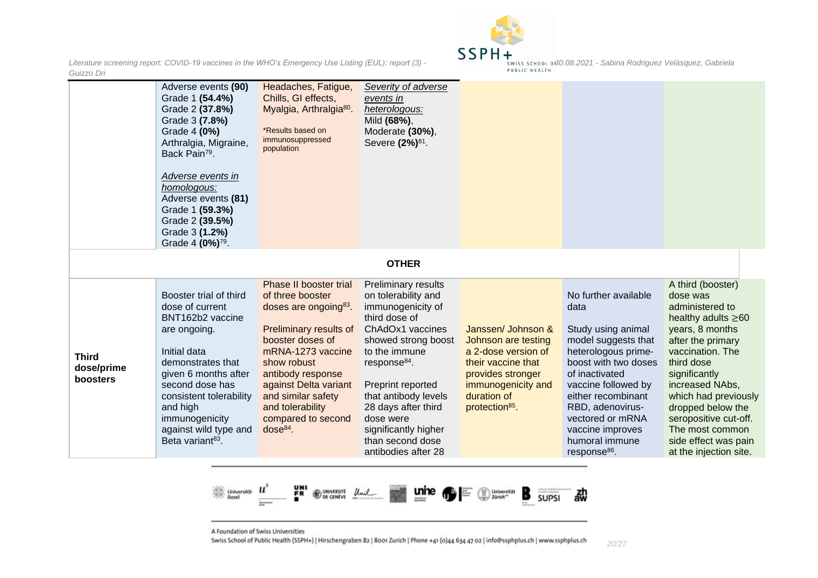

|                                        | Adverse events (90)<br>Grade 1 (54.4%)<br>Grade 2 (37.8%)<br>Grade 3 (7.8%)<br>Grade 4 (0%)<br>Arthralgia, Migraine,<br>Back Pain <sup>79</sup> .<br>Adverse events in<br>homologous:<br>Adverse events (81)<br>Grade 1 (59.3%)<br>Grade 2 (39.5%)<br>Grade 3 (1.2%)<br>Grade 4 (0%) <sup>79</sup> . | Headaches, Fatigue,<br>Chills, GI effects,<br>Myalgia, Arthralgia <sup>80</sup> .<br>*Results based on<br>immunosuppressed<br>population                                                                                                                                                      | Severity of adverse<br>events in<br>heterologous:<br>Mild (68%),<br>Moderate (30%),<br>Severe (2%) <sup>81</sup> .                                                                                                                                                                                                                  |                                                                                                                                                                                |                                                                                                                                                                                                                                                                                                   |                                                                                                                                                                                                                                                                                                                                       |
|----------------------------------------|------------------------------------------------------------------------------------------------------------------------------------------------------------------------------------------------------------------------------------------------------------------------------------------------------|-----------------------------------------------------------------------------------------------------------------------------------------------------------------------------------------------------------------------------------------------------------------------------------------------|-------------------------------------------------------------------------------------------------------------------------------------------------------------------------------------------------------------------------------------------------------------------------------------------------------------------------------------|--------------------------------------------------------------------------------------------------------------------------------------------------------------------------------|---------------------------------------------------------------------------------------------------------------------------------------------------------------------------------------------------------------------------------------------------------------------------------------------------|---------------------------------------------------------------------------------------------------------------------------------------------------------------------------------------------------------------------------------------------------------------------------------------------------------------------------------------|
|                                        |                                                                                                                                                                                                                                                                                                      |                                                                                                                                                                                                                                                                                               | <b>OTHER</b>                                                                                                                                                                                                                                                                                                                        |                                                                                                                                                                                |                                                                                                                                                                                                                                                                                                   |                                                                                                                                                                                                                                                                                                                                       |
| <b>Third</b><br>dose/prime<br>boosters | Booster trial of third<br>dose of current<br>BNT162b2 vaccine<br>are ongoing.<br>Initial data<br>demonstrates that<br>given 6 months after<br>second dose has<br>consistent tolerability<br>and high<br>immunogenicity<br>against wild type and<br>Beta variant <sup>83</sup> .                      | Phase II booster trial<br>of three booster<br>doses are ongoing <sup>83</sup> .<br>Preliminary results of<br>booster doses of<br>mRNA-1273 vaccine<br>show robust<br>antibody response<br>against Delta variant<br>and similar safety<br>and tolerability<br>compared to second<br>$dose84$ . | <b>Preliminary results</b><br>on tolerability and<br>immunogenicity of<br>third dose of<br>ChAdOx1 vaccines<br>showed strong boost<br>to the immune<br>response <sup>84</sup> .<br>Preprint reported<br>that antibody levels<br>28 days after third<br>dose were<br>significantly higher<br>than second dose<br>antibodies after 28 | Janssen/ Johnson &<br>Johnson are testing<br>a 2-dose version of<br>their vaccine that<br>provides stronger<br>immunogenicity and<br>duration of<br>protection <sup>85</sup> . | No further available<br>data<br>Study using animal<br>model suggests that<br>heterologous prime-<br>boost with two doses<br>of inactivated<br>vaccine followed by<br>either recombinant<br>RBD, adenovirus-<br>vectored or mRNA<br>vaccine improves<br>humoral immune<br>response <sup>86</sup> . | A third (booster)<br>dose was<br>administered to<br>healthy adults $\geq 60$<br>years, 8 months<br>after the primary<br>vaccination. The<br>third dose<br>significantly<br>increased NAbs,<br>which had previously<br>dropped below the<br>seropositive cut-off.<br>The most common<br>side effect was pain<br>at the injection site. |



A Foundation of Swiss Universities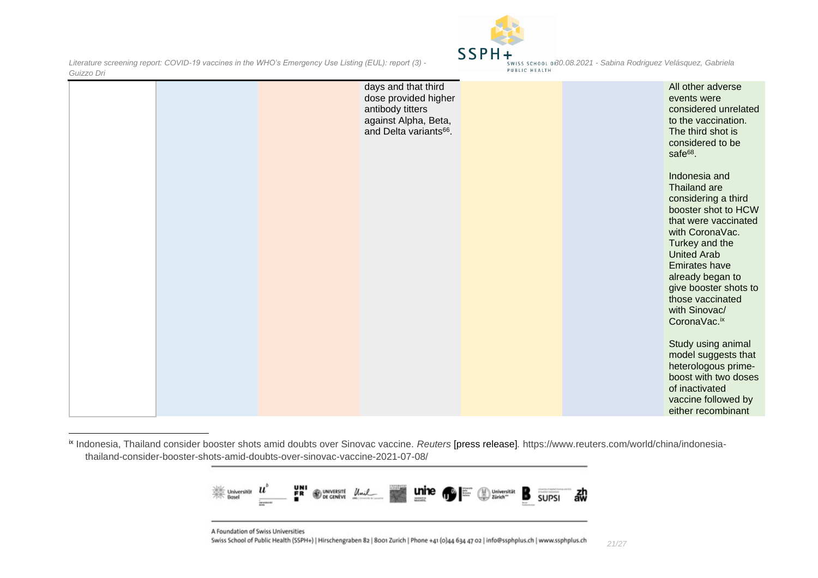

|  | days and that third<br>dose provided higher<br>antibody titters<br>against Alpha, Beta,<br>and Delta variants <sup>66</sup> . |  | All other adverse<br>events were<br>considered unrelated<br>to the vaccination.<br>The third shot is<br>considered to be<br>safe <sup>68</sup> .                                                                                                                                         |
|--|-------------------------------------------------------------------------------------------------------------------------------|--|------------------------------------------------------------------------------------------------------------------------------------------------------------------------------------------------------------------------------------------------------------------------------------------|
|  |                                                                                                                               |  | Indonesia and<br>Thailand are<br>considering a third<br>booster shot to HCW<br>that were vaccinated<br>with CoronaVac.<br>Turkey and the<br><b>United Arab</b><br><b>Emirates have</b><br>already began to<br>give booster shots to<br>those vaccinated<br>with Sinovac/<br>CoronaVac.ix |
|  |                                                                                                                               |  | Study using animal<br>model suggests that<br>heterologous prime-<br>boost with two doses<br>of inactivated<br>vaccine followed by<br>either recombinant                                                                                                                                  |

ix Indonesia, Thailand consider booster shots amid doubts over Sinovac vaccine. *Reuters* [press release]*.* https://www.reuters.com/world/china/indonesiathailand-consider-booster-shots-amid-doubts-over-sinovac-vaccine-2021-07-08/



A Foundation of Swiss Universities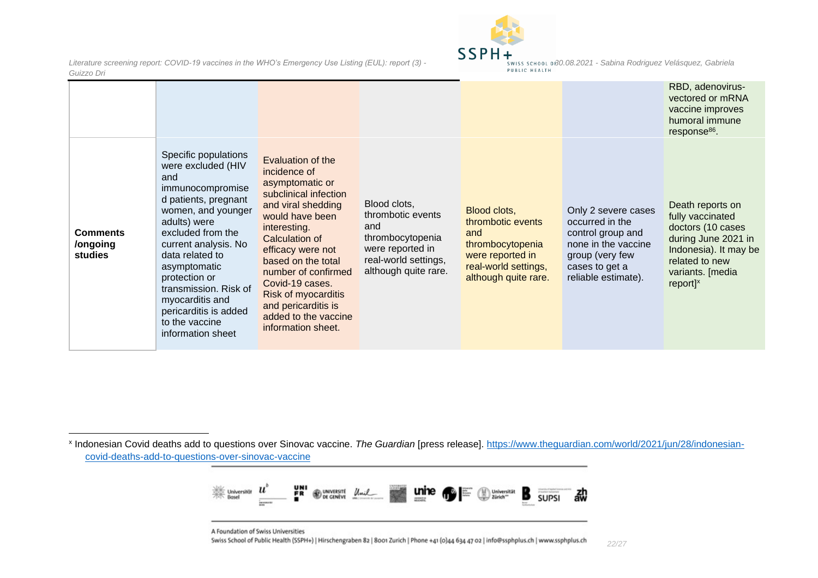

|                                                                                                                                                                                                                                                                                                                                                                                            |                                                                                                                                                                                                                                                                                                                                           |                                                                                                                                  |                                                                                                                                  |                                                                                                                                                | response <sup>86</sup> .                                                                                                                                                  |
|--------------------------------------------------------------------------------------------------------------------------------------------------------------------------------------------------------------------------------------------------------------------------------------------------------------------------------------------------------------------------------------------|-------------------------------------------------------------------------------------------------------------------------------------------------------------------------------------------------------------------------------------------------------------------------------------------------------------------------------------------|----------------------------------------------------------------------------------------------------------------------------------|----------------------------------------------------------------------------------------------------------------------------------|------------------------------------------------------------------------------------------------------------------------------------------------|---------------------------------------------------------------------------------------------------------------------------------------------------------------------------|
| Specific populations<br>were excluded (HIV<br>and<br>immunocompromise<br>d patients, pregnant<br>women, and younger<br>adults) were<br>excluded from the<br><b>Comments</b><br>current analysis. No<br>/ongoing<br>studies<br>data related to<br>asymptomatic<br>protection or<br>transmission. Risk of<br>myocarditis and<br>pericarditis is added<br>to the vaccine<br>information sheet | Evaluation of the<br>incidence of<br>asymptomatic or<br>subclinical infection<br>and viral shedding<br>would have been<br>interesting.<br>Calculation of<br>efficacy were not<br>based on the total<br>number of confirmed<br>Covid-19 cases.<br>Risk of myocarditis<br>and pericarditis is<br>added to the vaccine<br>information sheet. | Blood clots,<br>thrombotic events<br>and<br>thrombocytopenia<br>were reported in<br>real-world settings,<br>although quite rare. | Blood clots,<br>thrombotic events<br>and<br>thrombocytopenia<br>were reported in<br>real-world settings,<br>although quite rare. | Only 2 severe cases<br>occurred in the<br>control group and<br>none in the vaccine<br>group (very few<br>cases to get a<br>reliable estimate). | Death reports on<br>fully vaccinated<br>doctors (10 cases<br>during June 2021 in<br>Indonesia). It may be<br>related to new<br>variants. [media<br>$report]$ <sup>x</sup> |

x Indonesian Covid deaths add to questions over Sinovac vaccine. *The Guardian* [press release]. [https://www.theguardian.com/world/2021/jun/28/indonesian](https://www.theguardian.com/world/2021/jun/28/indonesian-covid-deaths-add-to-questions-over-sinovac-vaccine)[covid-deaths-add-to-questions-over-sinovac-vaccine](https://www.theguardian.com/world/2021/jun/28/indonesian-covid-deaths-add-to-questions-over-sinovac-vaccine)



A Foundation of Swiss Universities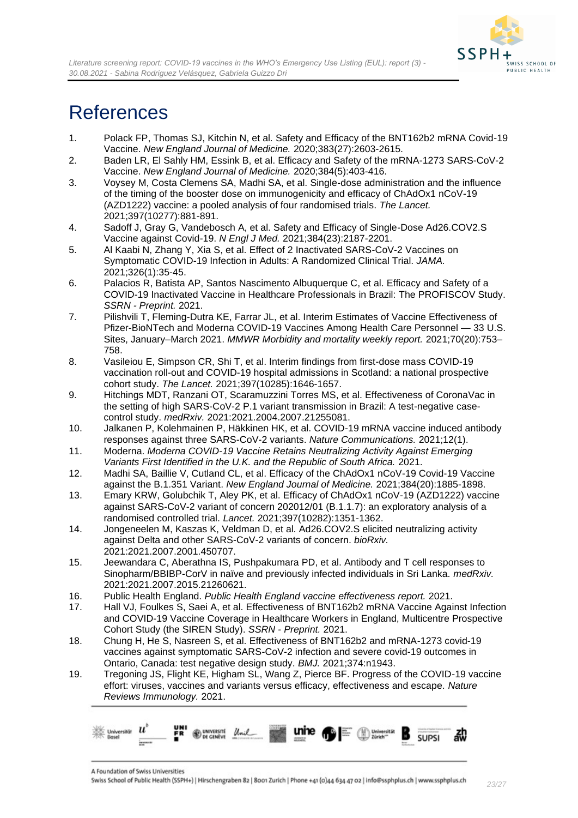

# <span id="page-22-0"></span>**References**

- 1. Polack FP, Thomas SJ, Kitchin N, et al. Safety and Efficacy of the BNT162b2 mRNA Covid-19 Vaccine. *New England Journal of Medicine.* 2020;383(27):2603-2615.
- 2. Baden LR, El Sahly HM, Essink B, et al. Efficacy and Safety of the mRNA-1273 SARS-CoV-2 Vaccine. *New England Journal of Medicine.* 2020;384(5):403-416.
- 3. Voysey M, Costa Clemens SA, Madhi SA, et al. Single-dose administration and the influence of the timing of the booster dose on immunogenicity and efficacy of ChAdOx1 nCoV-19 (AZD1222) vaccine: a pooled analysis of four randomised trials. *The Lancet.*  2021;397(10277):881-891.
- 4. Sadoff J, Gray G, Vandebosch A, et al. Safety and Efficacy of Single-Dose Ad26.COV2.S Vaccine against Covid-19. *N Engl J Med.* 2021;384(23):2187-2201.
- 5. Al Kaabi N, Zhang Y, Xia S, et al. Effect of 2 Inactivated SARS-CoV-2 Vaccines on Symptomatic COVID-19 Infection in Adults: A Randomized Clinical Trial. *JAMA.*  2021;326(1):35-45.
- 6. Palacios R, Batista AP, Santos Nascimento Albuquerque C, et al. Efficacy and Safety of a COVID-19 Inactivated Vaccine in Healthcare Professionals in Brazil: The PROFISCOV Study. *SSRN - Preprint.* 2021.
- 7. Pilishvili T, Fleming-Dutra KE, Farrar JL, et al. Interim Estimates of Vaccine Effectiveness of Pfizer-BioNTech and Moderna COVID-19 Vaccines Among Health Care Personnel — 33 U.S. Sites, January–March 2021. *MMWR Morbidity and mortality weekly report.* 2021;70(20):753– 758.
- 8. Vasileiou E, Simpson CR, Shi T, et al. Interim findings from first-dose mass COVID-19 vaccination roll-out and COVID-19 hospital admissions in Scotland: a national prospective cohort study. *The Lancet.* 2021;397(10285):1646-1657.
- 9. Hitchings MDT, Ranzani OT, Scaramuzzini Torres MS, et al. Effectiveness of CoronaVac in the setting of high SARS-CoV-2 P.1 variant transmission in Brazil: A test-negative casecontrol study. *medRxiv.* 2021:2021.2004.2007.21255081.
- 10. Jalkanen P, Kolehmainen P, Häkkinen HK, et al. COVID-19 mRNA vaccine induced antibody responses against three SARS-CoV-2 variants. *Nature Communications.* 2021;12(1).
- 11. Moderna. *Moderna COVID-19 Vaccine Retains Neutralizing Activity Against Emerging Variants First Identified in the U.K. and the Republic of South Africa.* 2021.
- 12. Madhi SA, Baillie V, Cutland CL, et al. Efficacy of the ChAdOx1 nCoV-19 Covid-19 Vaccine against the B.1.351 Variant. *New England Journal of Medicine.* 2021;384(20):1885-1898.
- 13. Emary KRW, Golubchik T, Aley PK, et al. Efficacy of ChAdOx1 nCoV-19 (AZD1222) vaccine against SARS-CoV-2 variant of concern 202012/01 (B.1.1.7): an exploratory analysis of a randomised controlled trial. *Lancet.* 2021;397(10282):1351-1362.
- 14. Jongeneelen M, Kaszas K, Veldman D, et al. Ad26.COV2.S elicited neutralizing activity against Delta and other SARS-CoV-2 variants of concern. *bioRxiv.*  2021:2021.2007.2001.450707.
- 15. Jeewandara C, Aberathna IS, Pushpakumara PD, et al. Antibody and T cell responses to Sinopharm/BBIBP-CorV in naïve and previously infected individuals in Sri Lanka. *medRxiv.*  2021:2021.2007.2015.21260621.
- 16. Public Health England. *Public Health England vaccine effectiveness report.* 2021.
- 17. Hall VJ, Foulkes S, Saei A, et al. Effectiveness of BNT162b2 mRNA Vaccine Against Infection and COVID-19 Vaccine Coverage in Healthcare Workers in England, Multicentre Prospective Cohort Study (the SIREN Study). *SSRN - Preprint.* 2021.
- 18. Chung H, He S, Nasreen S, et al. Effectiveness of BNT162b2 and mRNA-1273 covid-19 vaccines against symptomatic SARS-CoV-2 infection and severe covid-19 outcomes in Ontario, Canada: test negative design study. *BMJ.* 2021;374:n1943.
- 19. Tregoning JS, Flight KE, Higham SL, Wang Z, Pierce BF. Progress of the COVID-19 vaccine effort: viruses, vaccines and variants versus efficacy, effectiveness and escape. *Nature Reviews Immunology.* 2021.

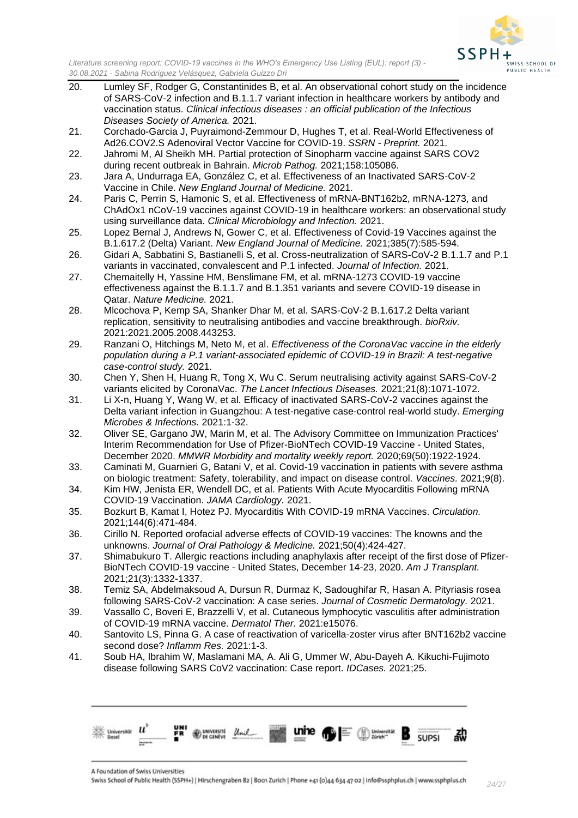

- 20. Lumley SF, Rodger G, Constantinides B, et al. An observational cohort study on the incidence of SARS-CoV-2 infection and B.1.1.7 variant infection in healthcare workers by antibody and vaccination status. *Clinical infectious diseases : an official publication of the Infectious Diseases Society of America.* 2021.
- 21. Corchado-Garcia J, Puyraimond-Zemmour D, Hughes T, et al. Real-World Effectiveness of Ad26.COV2.S Adenoviral Vector Vaccine for COVID-19. *SSRN - Preprint.* 2021.
- 22. Jahromi M, Al Sheikh MH. Partial protection of Sinopharm vaccine against SARS COV2 during recent outbreak in Bahrain. *Microb Pathog.* 2021;158:105086.
- 23. Jara A, Undurraga EA, González C, et al. Effectiveness of an Inactivated SARS-CoV-2 Vaccine in Chile. *New England Journal of Medicine.* 2021.
- 24. Paris C, Perrin S, Hamonic S, et al. Effectiveness of mRNA-BNT162b2, mRNA-1273, and ChAdOx1 nCoV-19 vaccines against COVID-19 in healthcare workers: an observational study using surveillance data. *Clinical Microbiology and Infection.* 2021.
- 25. Lopez Bernal J, Andrews N, Gower C, et al. Effectiveness of Covid-19 Vaccines against the B.1.617.2 (Delta) Variant. *New England Journal of Medicine.* 2021;385(7):585-594.
- 26. Gidari A, Sabbatini S, Bastianelli S, et al. Cross-neutralization of SARS-CoV-2 B.1.1.7 and P.1 variants in vaccinated, convalescent and P.1 infected. *Journal of Infection.* 2021.
- 27. Chemaitelly H, Yassine HM, Benslimane FM, et al. mRNA-1273 COVID-19 vaccine effectiveness against the B.1.1.7 and B.1.351 variants and severe COVID-19 disease in Qatar. *Nature Medicine.* 2021.
- 28. Mlcochova P, Kemp SA, Shanker Dhar M, et al. SARS-CoV-2 B.1.617.2 Delta variant replication, sensitivity to neutralising antibodies and vaccine breakthrough. *bioRxiv.*  2021:2021.2005.2008.443253.
- 29. Ranzani O, Hitchings M, Neto M, et al. *Effectiveness of the CoronaVac vaccine in the elderly population during a P.1 variant-associated epidemic of COVID-19 in Brazil: A test-negative case-control study.* 2021.
- 30. Chen Y, Shen H, Huang R, Tong X, Wu C. Serum neutralising activity against SARS-CoV-2 variants elicited by CoronaVac. *The Lancet Infectious Diseases.* 2021;21(8):1071-1072.
- 31. Li X-n, Huang Y, Wang W, et al. Efficacy of inactivated SARS-CoV-2 vaccines against the Delta variant infection in Guangzhou: A test-negative case-control real-world study. *Emerging Microbes & Infections.* 2021:1-32.
- 32. Oliver SE, Gargano JW, Marin M, et al. The Advisory Committee on Immunization Practices' Interim Recommendation for Use of Pfizer-BioNTech COVID-19 Vaccine - United States, December 2020. *MMWR Morbidity and mortality weekly report.* 2020;69(50):1922-1924.
- 33. Caminati M, Guarnieri G, Batani V, et al. Covid-19 vaccination in patients with severe asthma on biologic treatment: Safety, tolerability, and impact on disease control. *Vaccines.* 2021;9(8).
- 34. Kim HW, Jenista ER, Wendell DC, et al. Patients With Acute Myocarditis Following mRNA COVID-19 Vaccination. *JAMA Cardiology.* 2021.
- 35. Bozkurt B, Kamat I, Hotez PJ. Myocarditis With COVID-19 mRNA Vaccines. *Circulation.*  2021;144(6):471-484.
- 36. Cirillo N. Reported orofacial adverse effects of COVID-19 vaccines: The knowns and the unknowns. *Journal of Oral Pathology & Medicine.* 2021;50(4):424-427.
- 37. Shimabukuro T. Allergic reactions including anaphylaxis after receipt of the first dose of Pfizer-BioNTech COVID-19 vaccine - United States, December 14-23, 2020. *Am J Transplant.* 2021;21(3):1332-1337.
- 38. Temiz SA, Abdelmaksoud A, Dursun R, Durmaz K, Sadoughifar R, Hasan A. Pityriasis rosea following SARS-CoV-2 vaccination: A case series. *Journal of Cosmetic Dermatology.* 2021.
- 39. Vassallo C, Boveri E, Brazzelli V, et al. Cutaneous lymphocytic vasculitis after administration of COVID-19 mRNA vaccine. *Dermatol Ther.* 2021:e15076.
- 40. Santovito LS, Pinna G. A case of reactivation of varicella-zoster virus after BNT162b2 vaccine second dose? *Inflamm Res.* 2021:1-3.
- 41. Soub HA, Ibrahim W, Maslamani MA, A. Ali G, Ummer W, Abu-Dayeh A. Kikuchi-Fujimoto disease following SARS CoV2 vaccination: Case report. *IDCases.* 2021;25.

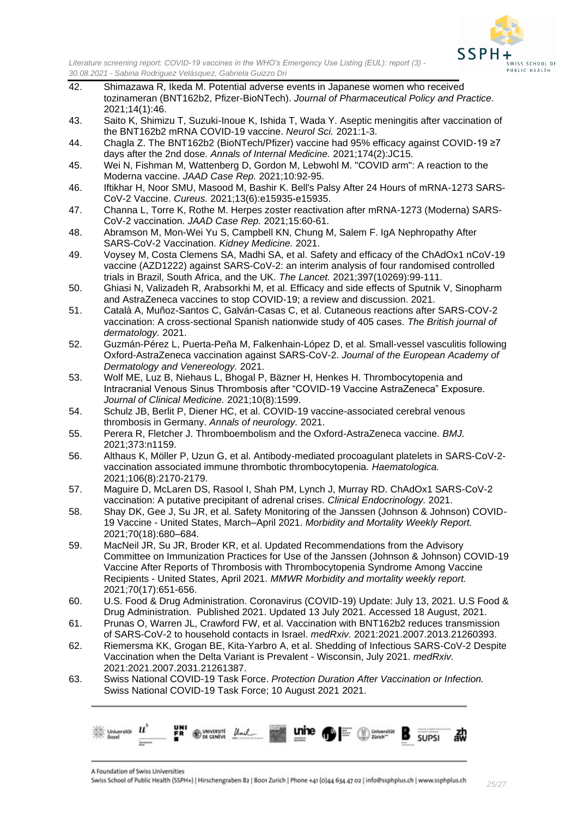

- 42. Shimazawa R, Ikeda M. Potential adverse events in Japanese women who received tozinameran (BNT162b2, Pfizer-BioNTech). *Journal of Pharmaceutical Policy and Practice.*  2021;14(1):46.
- 43. Saito K, Shimizu T, Suzuki-Inoue K, Ishida T, Wada Y. Aseptic meningitis after vaccination of the BNT162b2 mRNA COVID-19 vaccine. *Neurol Sci.* 2021:1-3.
- 44. Chagla Z. The BNT162b2 (BioNTech/Pfizer) vaccine had 95% efficacy against COVID-19 ≥7 days after the 2nd dose. *Annals of Internal Medicine.* 2021;174(2):JC15.
- 45. Wei N, Fishman M, Wattenberg D, Gordon M, Lebwohl M. "COVID arm": A reaction to the Moderna vaccine. *JAAD Case Rep.* 2021;10:92-95.
- 46. Iftikhar H, Noor SMU, Masood M, Bashir K. Bell's Palsy After 24 Hours of mRNA-1273 SARS-CoV-2 Vaccine. *Cureus.* 2021;13(6):e15935-e15935.
- 47. Channa L, Torre K, Rothe M. Herpes zoster reactivation after mRNA-1273 (Moderna) SARS-CoV-2 vaccination. *JAAD Case Rep.* 2021;15:60-61.
- 48. Abramson M, Mon-Wei Yu S, Campbell KN, Chung M, Salem F. IgA Nephropathy After SARS-CoV-2 Vaccination. *Kidney Medicine.* 2021.
- 49. Voysey M, Costa Clemens SA, Madhi SA, et al. Safety and efficacy of the ChAdOx1 nCoV-19 vaccine (AZD1222) against SARS-CoV-2: an interim analysis of four randomised controlled trials in Brazil, South Africa, and the UK. *The Lancet.* 2021;397(10269):99-111.
- 50. Ghiasi N, Valizadeh R, Arabsorkhi M, et al. Efficacy and side effects of Sputnik V, Sinopharm and AstraZeneca vaccines to stop COVID-19; a review and discussion. 2021.
- 51. Català A, Muñoz-Santos C, Galván-Casas C, et al. Cutaneous reactions after SARS-COV-2 vaccination: A cross-sectional Spanish nationwide study of 405 cases. *The British journal of dermatology.* 2021.
- 52. Guzmán-Pérez L, Puerta-Peña M, Falkenhain-López D, et al. Small-vessel vasculitis following Oxford-AstraZeneca vaccination against SARS-CoV-2. *Journal of the European Academy of Dermatology and Venereology.* 2021.
- 53. Wolf ME, Luz B, Niehaus L, Bhogal P, Bäzner H, Henkes H. Thrombocytopenia and Intracranial Venous Sinus Thrombosis after "COVID-19 Vaccine AstraZeneca" Exposure. *Journal of Clinical Medicine.* 2021;10(8):1599.
- 54. Schulz JB, Berlit P, Diener HC, et al. COVID-19 vaccine-associated cerebral venous thrombosis in Germany. *Annals of neurology.* 2021.
- 55. Perera R, Fletcher J. Thromboembolism and the Oxford-AstraZeneca vaccine. *BMJ.*  2021;373:n1159.
- 56. Althaus K, Möller P, Uzun G, et al. Antibody-mediated procoagulant platelets in SARS-CoV-2 vaccination associated immune thrombotic thrombocytopenia. *Haematologica.*  2021;106(8):2170-2179.
- 57. Maguire D, McLaren DS, Rasool I, Shah PM, Lynch J, Murray RD. ChAdOx1 SARS-CoV-2 vaccination: A putative precipitant of adrenal crises. *Clinical Endocrinology.* 2021.
- 58. Shay DK, Gee J, Su JR, et al. Safety Monitoring of the Janssen (Johnson & Johnson) COVID-19 Vaccine - United States, March–April 2021. *Morbidity and Mortality Weekly Report.*  2021;70(18):680–684.
- 59. MacNeil JR, Su JR, Broder KR, et al. Updated Recommendations from the Advisory Committee on Immunization Practices for Use of the Janssen (Johnson & Johnson) COVID-19 Vaccine After Reports of Thrombosis with Thrombocytopenia Syndrome Among Vaccine Recipients - United States, April 2021. *MMWR Morbidity and mortality weekly report.*  2021;70(17):651-656.
- 60. U.S. Food & Drug Administration. Coronavirus (COVID-19) Update: July 13, 2021. U.S Food & Drug Administration. Published 2021. Updated 13 July 2021. Accessed 18 August, 2021.
- 61. Prunas O, Warren JL, Crawford FW, et al. Vaccination with BNT162b2 reduces transmission of SARS-CoV-2 to household contacts in Israel. *medRxiv.* 2021:2021.2007.2013.21260393.
- 62. Riemersma KK, Grogan BE, Kita-Yarbro A, et al. Shedding of Infectious SARS-CoV-2 Despite Vaccination when the Delta Variant is Prevalent - Wisconsin, July 2021. *medRxiv.*  2021:2021.2007.2031.21261387.
- 63. Swiss National COVID-19 Task Force. *Protection Duration After Vaccination or Infection.* Swiss National COVID-19 Task Force; 10 August 2021 2021.

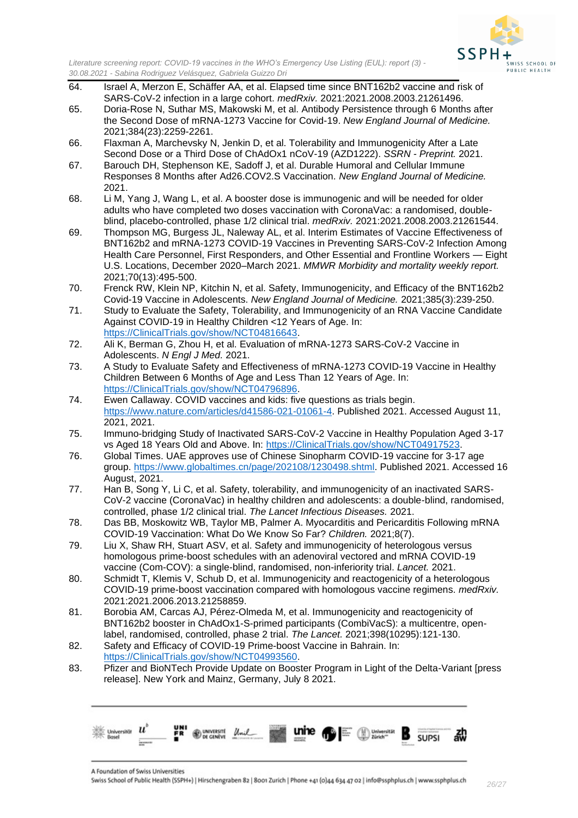

- 64. Israel A, Merzon E, Schäffer AA, et al. Elapsed time since BNT162b2 vaccine and risk of SARS-CoV-2 infection in a large cohort. *medRxiv.* 2021:2021.2008.2003.21261496.
- 65. Doria-Rose N, Suthar MS, Makowski M, et al. Antibody Persistence through 6 Months after the Second Dose of mRNA-1273 Vaccine for Covid-19. *New England Journal of Medicine.*  2021;384(23):2259-2261.
- 66. Flaxman A, Marchevsky N, Jenkin D, et al. Tolerability and Immunogenicity After a Late Second Dose or a Third Dose of ChAdOx1 nCoV-19 (AZD1222). *SSRN - Preprint.* 2021.
- 67. Barouch DH, Stephenson KE, Sadoff J, et al. Durable Humoral and Cellular Immune Responses 8 Months after Ad26.COV2.S Vaccination. *New England Journal of Medicine.*  2021.
- 68. Li M, Yang J, Wang L, et al. A booster dose is immunogenic and will be needed for older adults who have completed two doses vaccination with CoronaVac: a randomised, doubleblind, placebo-controlled, phase 1/2 clinical trial. *medRxiv.* 2021:2021.2008.2003.21261544.
- 69. Thompson MG, Burgess JL, Naleway AL, et al. Interim Estimates of Vaccine Effectiveness of BNT162b2 and mRNA-1273 COVID-19 Vaccines in Preventing SARS-CoV-2 Infection Among Health Care Personnel, First Responders, and Other Essential and Frontline Workers — Eight U.S. Locations, December 2020–March 2021. *MMWR Morbidity and mortality weekly report.*  2021;70(13):495-500.
- 70. Frenck RW, Klein NP, Kitchin N, et al. Safety, Immunogenicity, and Efficacy of the BNT162b2 Covid-19 Vaccine in Adolescents. *New England Journal of Medicine.* 2021;385(3):239-250.
- 71. Study to Evaluate the Safety, Tolerability, and Immunogenicity of an RNA Vaccine Candidate Against COVID-19 in Healthy Children <12 Years of Age. In: [https://ClinicalTrials.gov/show/NCT04816643.](https://clinicaltrials.gov/show/NCT04816643)
- 72. Ali K, Berman G, Zhou H, et al. Evaluation of mRNA-1273 SARS-CoV-2 Vaccine in Adolescents. *N Engl J Med.* 2021.
- 73. A Study to Evaluate Safety and Effectiveness of mRNA-1273 COVID-19 Vaccine in Healthy Children Between 6 Months of Age and Less Than 12 Years of Age. In: [https://ClinicalTrials.gov/show/NCT04796896.](https://clinicaltrials.gov/show/NCT04796896)
- 74. Ewen Callaway. COVID vaccines and kids: five questions as trials begin. [https://www.nature.com/articles/d41586-021-01061-4.](https://www.nature.com/articles/d41586-021-01061-4) Published 2021. Accessed August 11, 2021, 2021.
- 75. Immuno-bridging Study of Inactivated SARS-CoV-2 Vaccine in Healthy Population Aged 3-17 vs Aged 18 Years Old and Above. In: [https://ClinicalTrials.gov/show/NCT04917523.](https://clinicaltrials.gov/show/NCT04917523)
- 76. Global Times. UAE approves use of Chinese Sinopharm COVID-19 vaccine for 3-17 age group. [https://www.globaltimes.cn/page/202108/1230498.shtml.](https://www.globaltimes.cn/page/202108/1230498.shtml) Published 2021. Accessed 16 August, 2021.
- 77. Han B, Song Y, Li C, et al. Safety, tolerability, and immunogenicity of an inactivated SARS-CoV-2 vaccine (CoronaVac) in healthy children and adolescents: a double-blind, randomised, controlled, phase 1/2 clinical trial. *The Lancet Infectious Diseases.* 2021.
- 78. Das BB, Moskowitz WB, Taylor MB, Palmer A. Myocarditis and Pericarditis Following mRNA COVID-19 Vaccination: What Do We Know So Far? *Children.* 2021;8(7).
- 79. Liu X, Shaw RH, Stuart ASV, et al. Safety and immunogenicity of heterologous versus homologous prime-boost schedules with an adenoviral vectored and mRNA COVID-19 vaccine (Com-COV): a single-blind, randomised, non-inferiority trial. *Lancet.* 2021.
- 80. Schmidt T, Klemis V, Schub D, et al. Immunogenicity and reactogenicity of a heterologous COVID-19 prime-boost vaccination compared with homologous vaccine regimens. *medRxiv.*  2021:2021.2006.2013.21258859.
- 81. Borobia AM, Carcas AJ, Pérez-Olmeda M, et al. Immunogenicity and reactogenicity of BNT162b2 booster in ChAdOx1-S-primed participants (CombiVacS): a multicentre, openlabel, randomised, controlled, phase 2 trial. *The Lancet.* 2021;398(10295):121-130.
- 82. Safety and Efficacy of COVID-19 Prime-boost Vaccine in Bahrain. In: [https://ClinicalTrials.gov/show/NCT04993560.](https://clinicaltrials.gov/show/NCT04993560)
- 83. Pfizer and BioNTech Provide Update on Booster Program in Light of the Delta-Variant [press release]. New York and Mainz, Germany, July 8 2021.